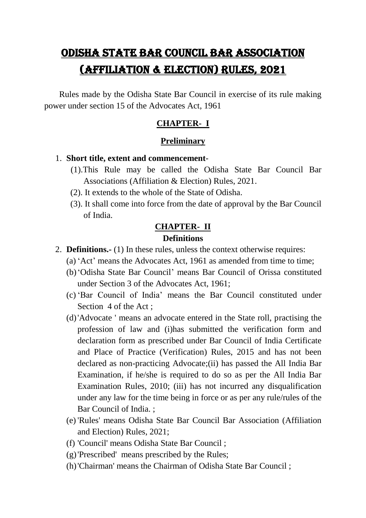# ODISHA STATE BAR COUNCIL BAR ASSOCIATION (AFFILIATION & ELECTION) RULES, 2021

 Rules made by the Odisha State Bar Council in exercise of its rule making power under section 15 of the Advocates Act, 1961

# **CHAPTER- I**

## **Preliminary**

### 1. **Short title, extent and commencement**-

- (1).This Rule may be called the Odisha State Bar Council Bar Associations (Affiliation & Election) Rules, 2021.
- (2). It extends to the whole of the State of Odisha.
- (3). It shall come into force from the date of approval by the Bar Council of India.

# **CHAPTER- II Definitions**

- 2. **Definitions.-** (1) In these rules, unless the context otherwise requires:
	- (a) "Act" means the Advocates Act, 1961 as amended from time to time;
	- (b)"Odisha State Bar Council" means Bar Council of Orissa constituted under Section 3 of the Advocates Act, 1961;
	- (c) "Bar Council of India" means the Bar Council constituted under Section 4 of the Act ;
	- (d)'Advocate ' means an advocate entered in the State roll, practising the profession of law and (i)has submitted the verification form and declaration form as prescribed under Bar Council of India Certificate and Place of Practice (Verification) Rules, 2015 and has not been declared as non-practicing Advocate;(ii) has passed the All India Bar Examination, if he/she is required to do so as per the All India Bar Examination Rules, 2010; (iii) has not incurred any disqualification under any law for the time being in force or as per any rule/rules of the Bar Council of India. ;
	- (e) 'Rules' means Odisha State Bar Council Bar Association (Affiliation and Election) Rules, 2021;
	- (f) 'Council' means Odisha State Bar Council ;
	- (g)'Prescribed' means prescribed by the Rules;
	- (h)'Chairman' means the Chairman of Odisha State Bar Council ;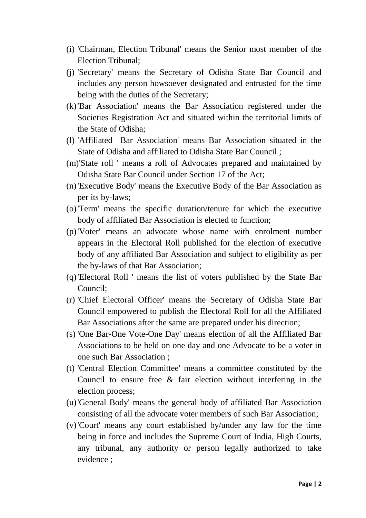- (i) 'Chairman, Election Tribunal' means the Senior most member of the Election Tribunal;
- (j) 'Secretary' means the Secretary of Odisha State Bar Council and includes any person howsoever designated and entrusted for the time being with the duties of the Secretary;
- (k)'Bar Association' means the Bar Association registered under the Societies Registration Act and situated within the territorial limits of the State of Odisha;
- (l) 'Affiliated Bar Association' means Bar Association situated in the State of Odisha and affiliated to Odisha State Bar Council ;
- (m)'State roll ' means a roll of Advocates prepared and maintained by Odisha State Bar Council under Section 17 of the Act;
- (n)'Executive Body' means the Executive Body of the Bar Association as per its by-laws;
- (o)'Term' means the specific duration/tenure for which the executive body of affiliated Bar Association is elected to function;
- (p)'Voter' means an advocate whose name with enrolment number appears in the Electoral Roll published for the election of executive body of any affiliated Bar Association and subject to eligibility as per the by-laws of that Bar Association;
- (q)'Electoral Roll ' means the list of voters published by the State Bar Council;
- (r) 'Chief Electoral Officer' means the Secretary of Odisha State Bar Council empowered to publish the Electoral Roll for all the Affiliated Bar Associations after the same are prepared under his direction;
- (s) 'One Bar-One Vote-One Day' means election of all the Affiliated Bar Associations to be held on one day and one Advocate to be a voter in one such Bar Association ;
- (t) 'Central Election Committee' means a committee constituted by the Council to ensure free & fair election without interfering in the election process;
- (u)'General Body' means the general body of affiliated Bar Association consisting of all the advocate voter members of such Bar Association;
- (v)'Court' means any court established by/under any law for the time being in force and includes the Supreme Court of India, High Courts, any tribunal, any authority or person legally authorized to take evidence ;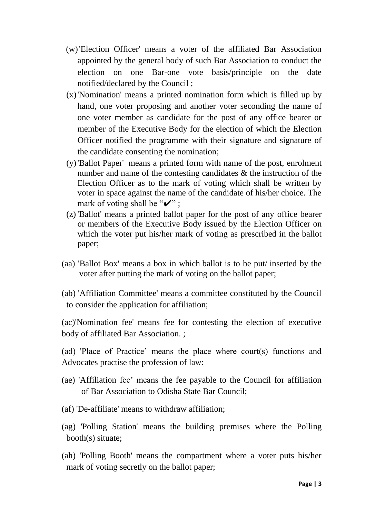- (w)'Election Officer' means a voter of the affiliated Bar Association appointed by the general body of such Bar Association to conduct the election on one Bar-one vote basis/principle on the date notified/declared by the Council ;
- (x)'Nomination' means a printed nomination form which is filled up by hand, one voter proposing and another voter seconding the name of one voter member as candidate for the post of any office bearer or member of the Executive Body for the election of which the Election Officer notified the programme with their signature and signature of the candidate consenting the nomination;
- (y)'Ballot Paper' means a printed form with name of the post, enrolment number and name of the contesting candidates & the instruction of the Election Officer as to the mark of voting which shall be written by voter in space against the name of the candidate of his/her choice. The mark of voting shall be " $\checkmark$ " ;
- (z) 'Ballot' means a printed ballot paper for the post of any office bearer or members of the Executive Body issued by the Election Officer on which the voter put his/her mark of voting as prescribed in the ballot paper;
- (aa) 'Ballot Box' means a box in which ballot is to be put/ inserted by the voter after putting the mark of voting on the ballot paper;
- (ab) 'Affiliation Committee' means a committee constituted by the Council to consider the application for affiliation;

(ac)'Nomination fee' means fee for contesting the election of executive body of affiliated Bar Association. ;

(ad) 'Place of Practice" means the place where court(s) functions and Advocates practise the profession of law:

- (ae) 'Affiliation fee" means the fee payable to the Council for affiliation of Bar Association to Odisha State Bar Council;
- (af) 'De-affiliate' means to withdraw affiliation;
- (ag) 'Polling Station' means the building premises where the Polling booth(s) situate;
- (ah) 'Polling Booth' means the compartment where a voter puts his/her mark of voting secretly on the ballot paper;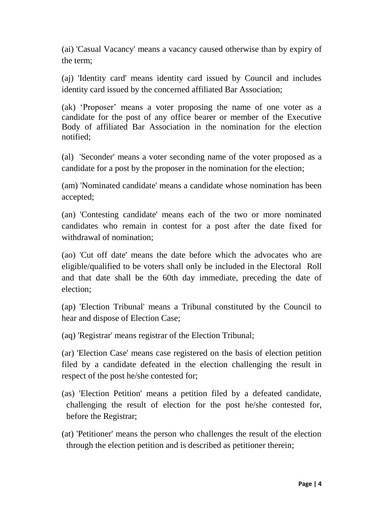(ai) 'Casual Vacancy' means a vacancy caused otherwise than by expiry of the term;

(aj) 'Identity card' means identity card issued by Council and includes identity card issued by the concerned affiliated Bar Association;

(ak) "Proposer" means a voter proposing the name of one voter as a candidate for the post of any office bearer or member of the Executive Body of affiliated Bar Association in the nomination for the election notified;

(al) 'Seconder' means a voter seconding name of the voter proposed as a candidate for a post by the proposer in the nomination for the election;

(am) 'Nominated candidate' means a candidate whose nomination has been accepted;

(an) 'Contesting candidate' means each of the two or more nominated candidates who remain in contest for a post after the date fixed for withdrawal of nomination;

(ao) 'Cut off date' means the date before which the advocates who are eligible/qualified to be voters shall only be included in the Electoral Roll and that date shall be the 60th day immediate, preceding the date of election;

(ap) 'Election Tribunal' means a Tribunal constituted by the Council to hear and dispose of Election Case;

(aq) 'Registrar' means registrar of the Election Tribunal;

(ar) 'Election Case' means case registered on the basis of election petition filed by a candidate defeated in the election challenging the result in respect of the post he/she contested for;

(as) 'Election Petition' means a petition filed by a defeated candidate, challenging the result of election for the post he/she contested for, before the Registrar;

(at) 'Petitioner' means the person who challenges the result of the election through the election petition and is described as petitioner therein;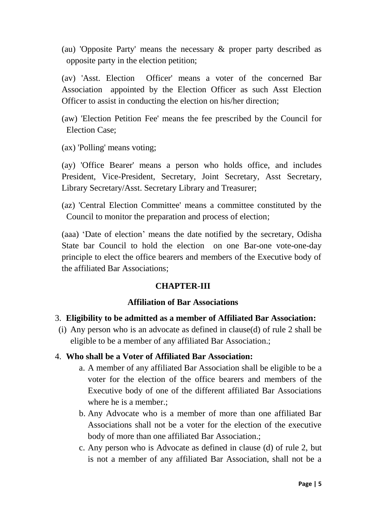(au) 'Opposite Party' means the necessary & proper party described as opposite party in the election petition;

(av) 'Asst. Election Officer' means a voter of the concerned Bar Association appointed by the Election Officer as such Asst Election Officer to assist in conducting the election on his/her direction;

(aw) 'Election Petition Fee' means the fee prescribed by the Council for Election Case;

(ax) 'Polling' means voting;

(ay) 'Office Bearer' means a person who holds office, and includes President, Vice-President, Secretary, Joint Secretary, Asst Secretary, Library Secretary/Asst. Secretary Library and Treasurer;

(az) 'Central Election Committee' means a committee constituted by the Council to monitor the preparation and process of election;

(aaa) "Date of election" means the date notified by the secretary, Odisha State bar Council to hold the election on one Bar-one vote-one-day principle to elect the office bearers and members of the Executive body of the affiliated Bar Associations;

## **CHAPTER-III**

#### **Affiliation of Bar Associations**

- 3. **Eligibility to be admitted as a member of Affiliated Bar Association:**
- (i) Any person who is an advocate as defined in clause(d) of rule 2 shall be eligible to be a member of any affiliated Bar Association.;

## 4. **Who shall be a Voter of Affiliated Bar Association:**

- a. A member of any affiliated Bar Association shall be eligible to be a voter for the election of the office bearers and members of the Executive body of one of the different affiliated Bar Associations where he is a member.;
- b. Any Advocate who is a member of more than one affiliated Bar Associations shall not be a voter for the election of the executive body of more than one affiliated Bar Association.;
- c. Any person who is Advocate as defined in clause (d) of rule 2, but is not a member of any affiliated Bar Association, shall not be a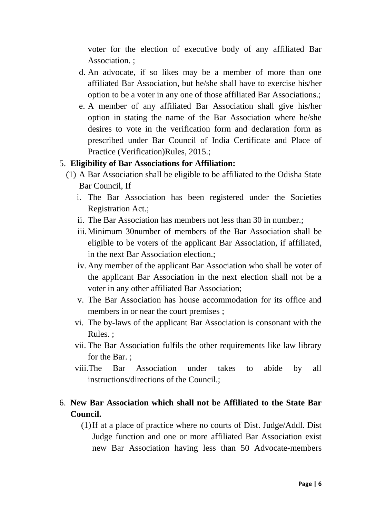voter for the election of executive body of any affiliated Bar Association. ;

- d. An advocate, if so likes may be a member of more than one affiliated Bar Association, but he/she shall have to exercise his/her option to be a voter in any one of those affiliated Bar Associations.;
- e. A member of any affiliated Bar Association shall give his/her option in stating the name of the Bar Association where he/she desires to vote in the verification form and declaration form as prescribed under Bar Council of India Certificate and Place of Practice (Verification)Rules, 2015.;

#### 5. **Eligibility of Bar Associations for Affiliation:**

- (1) A Bar Association shall be eligible to be affiliated to the Odisha State Bar Council, If
	- i. The Bar Association has been registered under the Societies Registration Act.;
	- ii. The Bar Association has members not less than 30 in number.;
	- iii.Minimum 30number of members of the Bar Association shall be eligible to be voters of the applicant Bar Association, if affiliated, in the next Bar Association election.;
	- iv. Any member of the applicant Bar Association who shall be voter of the applicant Bar Association in the next election shall not be a voter in any other affiliated Bar Association;
	- v. The Bar Association has house accommodation for its office and members in or near the court premises ;
	- vi. The by-laws of the applicant Bar Association is consonant with the Rules. ;
	- vii. The Bar Association fulfils the other requirements like law library for the Bar. ;
	- viii.The Bar Association under takes to abide by all instructions/directions of the Council.;

# 6. **New Bar Association which shall not be Affiliated to the State Bar Council.**

(1)If at a place of practice where no courts of Dist. Judge/Addl. Dist Judge function and one or more affiliated Bar Association exist new Bar Association having less than 50 Advocate-members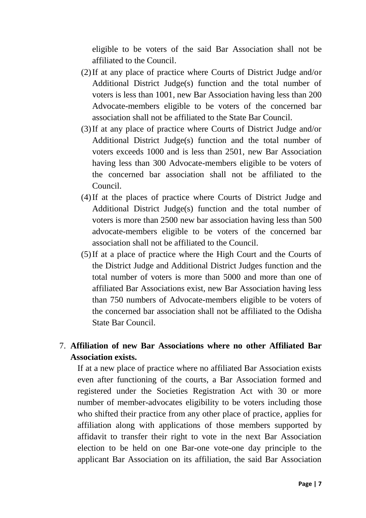eligible to be voters of the said Bar Association shall not be affiliated to the Council.

- (2)If at any place of practice where Courts of District Judge and/or Additional District Judge(s) function and the total number of voters is less than 1001, new Bar Association having less than 200 Advocate-members eligible to be voters of the concerned bar association shall not be affiliated to the State Bar Council.
- (3)If at any place of practice where Courts of District Judge and/or Additional District Judge(s) function and the total number of voters exceeds 1000 and is less than 2501, new Bar Association having less than 300 Advocate-members eligible to be voters of the concerned bar association shall not be affiliated to the Council.
- (4)If at the places of practice where Courts of District Judge and Additional District Judge(s) function and the total number of voters is more than 2500 new bar association having less than 500 advocate-members eligible to be voters of the concerned bar association shall not be affiliated to the Council.
- (5)If at a place of practice where the High Court and the Courts of the District Judge and Additional District Judges function and the total number of voters is more than 5000 and more than one of affiliated Bar Associations exist, new Bar Association having less than 750 numbers of Advocate-members eligible to be voters of the concerned bar association shall not be affiliated to the Odisha State Bar Council.

# 7. **Affiliation of new Bar Associations where no other Affiliated Bar Association exists.**

If at a new place of practice where no affiliated Bar Association exists even after functioning of the courts, a Bar Association formed and registered under the Societies Registration Act with 30 or more number of member-advocates eligibility to be voters including those who shifted their practice from any other place of practice, applies for affiliation along with applications of those members supported by affidavit to transfer their right to vote in the next Bar Association election to be held on one Bar-one vote-one day principle to the applicant Bar Association on its affiliation, the said Bar Association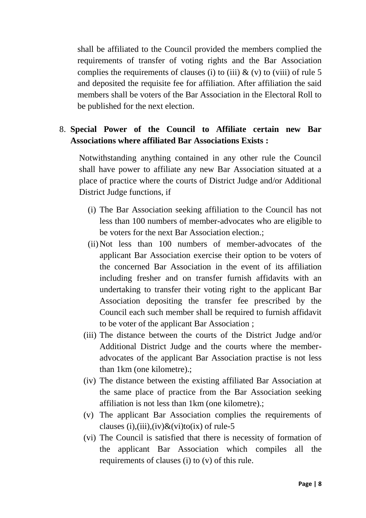shall be affiliated to the Council provided the members complied the requirements of transfer of voting rights and the Bar Association complies the requirements of clauses (i) to (iii)  $\&$  (v) to (viii) of rule 5 and deposited the requisite fee for affiliation. After affiliation the said members shall be voters of the Bar Association in the Electoral Roll to be published for the next election.

# 8. **Special Power of the Council to Affiliate certain new Bar Associations where affiliated Bar Associations Exists :**

Notwithstanding anything contained in any other rule the Council shall have power to affiliate any new Bar Association situated at a place of practice where the courts of District Judge and/or Additional District Judge functions, if

- (i) The Bar Association seeking affiliation to the Council has not less than 100 numbers of member-advocates who are eligible to be voters for the next Bar Association election.;
- (ii)Not less than 100 numbers of member-advocates of the applicant Bar Association exercise their option to be voters of the concerned Bar Association in the event of its affiliation including fresher and on transfer furnish affidavits with an undertaking to transfer their voting right to the applicant Bar Association depositing the transfer fee prescribed by the Council each such member shall be required to furnish affidavit to be voter of the applicant Bar Association ;
- (iii) The distance between the courts of the District Judge and/or Additional District Judge and the courts where the memberadvocates of the applicant Bar Association practise is not less than 1km (one kilometre).;
- (iv) The distance between the existing affiliated Bar Association at the same place of practice from the Bar Association seeking affiliation is not less than 1km (one kilometre).;
- (v) The applicant Bar Association complies the requirements of clauses (i),(iii),(iv) $\&$ (vi)to(ix) of rule-5
- (vi) The Council is satisfied that there is necessity of formation of the applicant Bar Association which compiles all the requirements of clauses (i) to (v) of this rule.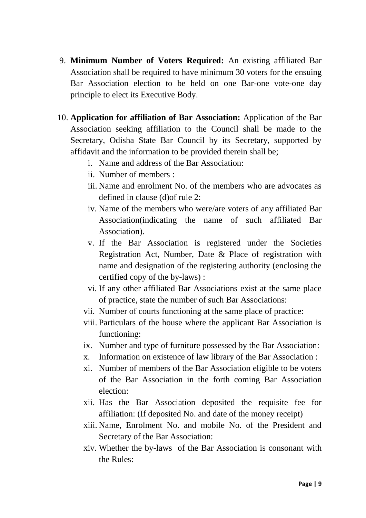- 9. **Minimum Number of Voters Required:** An existing affiliated Bar Association shall be required to have minimum 30 voters for the ensuing Bar Association election to be held on one Bar-one vote-one day principle to elect its Executive Body.
- 10. **Application for affiliation of Bar Association:** Application of the Bar Association seeking affiliation to the Council shall be made to the Secretary, Odisha State Bar Council by its Secretary, supported by affidavit and the information to be provided therein shall be;
	- i. Name and address of the Bar Association:
	- ii. Number of members :
	- iii. Name and enrolment No. of the members who are advocates as defined in clause (d)of rule 2:
	- iv. Name of the members who were/are voters of any affiliated Bar Association(indicating the name of such affiliated Bar Association).
	- v. If the Bar Association is registered under the Societies Registration Act, Number, Date & Place of registration with name and designation of the registering authority (enclosing the certified copy of the by-laws) :
	- vi. If any other affiliated Bar Associations exist at the same place of practice, state the number of such Bar Associations:
	- vii. Number of courts functioning at the same place of practice:
	- viii. Particulars of the house where the applicant Bar Association is functioning:
	- ix. Number and type of furniture possessed by the Bar Association:
	- x. Information on existence of law library of the Bar Association :
	- xi. Number of members of the Bar Association eligible to be voters of the Bar Association in the forth coming Bar Association election:
	- xii. Has the Bar Association deposited the requisite fee for affiliation: (If deposited No. and date of the money receipt)
	- xiii. Name, Enrolment No. and mobile No. of the President and Secretary of the Bar Association:
	- xiv. Whether the by-laws of the Bar Association is consonant with the Rules: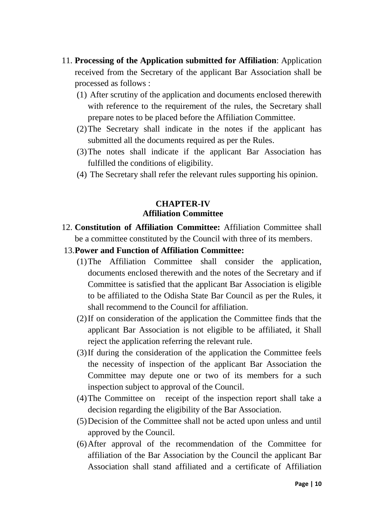- 11. **Processing of the Application submitted for Affiliation**: Application received from the Secretary of the applicant Bar Association shall be processed as follows :
	- (1) After scrutiny of the application and documents enclosed therewith with reference to the requirement of the rules, the Secretary shall prepare notes to be placed before the Affiliation Committee.
	- (2)The Secretary shall indicate in the notes if the applicant has submitted all the documents required as per the Rules.
	- (3)The notes shall indicate if the applicant Bar Association has fulfilled the conditions of eligibility.
	- (4) The Secretary shall refer the relevant rules supporting his opinion.

# **CHAPTER-IV Affiliation Committee**

- 12. **Constitution of Affiliation Committee:** Affiliation Committee shall be a committee constituted by the Council with three of its members.
- 13.**Power and Function of Affiliation Committee:**
	- (1)The Affiliation Committee shall consider the application, documents enclosed therewith and the notes of the Secretary and if Committee is satisfied that the applicant Bar Association is eligible to be affiliated to the Odisha State Bar Council as per the Rules, it shall recommend to the Council for affiliation.
	- (2)If on consideration of the application the Committee finds that the applicant Bar Association is not eligible to be affiliated, it Shall reject the application referring the relevant rule.
	- (3)If during the consideration of the application the Committee feels the necessity of inspection of the applicant Bar Association the Committee may depute one or two of its members for a such inspection subject to approval of the Council.
	- (4)The Committee on receipt of the inspection report shall take a decision regarding the eligibility of the Bar Association.
	- (5)Decision of the Committee shall not be acted upon unless and until approved by the Council.
	- (6)After approval of the recommendation of the Committee for affiliation of the Bar Association by the Council the applicant Bar Association shall stand affiliated and a certificate of Affiliation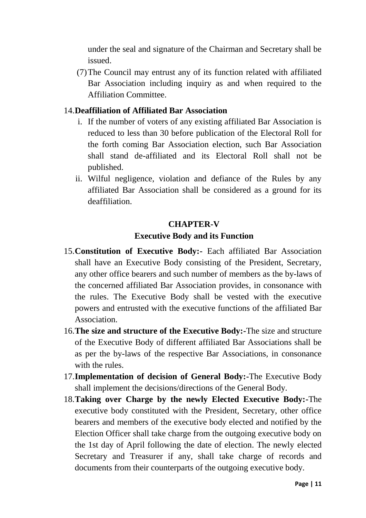under the seal and signature of the Chairman and Secretary shall be issued.

(7)The Council may entrust any of its function related with affiliated Bar Association including inquiry as and when required to the Affiliation Committee.

## 14.**Deaffiliation of Affiliated Bar Association**

- i. If the number of voters of any existing affiliated Bar Association is reduced to less than 30 before publication of the Electoral Roll for the forth coming Bar Association election, such Bar Association shall stand de-affiliated and its Electoral Roll shall not be published.
- ii. Wilful negligence, violation and defiance of the Rules by any affiliated Bar Association shall be considered as a ground for its deaffiliation.

# **CHAPTER-V Executive Body and its Function**

- 15.**Constitution of Executive Body:-** Each affiliated Bar Association shall have an Executive Body consisting of the President, Secretary, any other office bearers and such number of members as the by-laws of the concerned affiliated Bar Association provides, in consonance with the rules. The Executive Body shall be vested with the executive powers and entrusted with the executive functions of the affiliated Bar Association.
- 16.**The size and structure of the Executive Body:-**The size and structure of the Executive Body of different affiliated Bar Associations shall be as per the by-laws of the respective Bar Associations, in consonance with the rules.
- 17.**Implementation of decision of General Body:-**The Executive Body shall implement the decisions/directions of the General Body.
- 18.**Taking over Charge by the newly Elected Executive Body:-**The executive body constituted with the President, Secretary, other office bearers and members of the executive body elected and notified by the Election Officer shall take charge from the outgoing executive body on the 1st day of April following the date of election. The newly elected Secretary and Treasurer if any, shall take charge of records and documents from their counterparts of the outgoing executive body.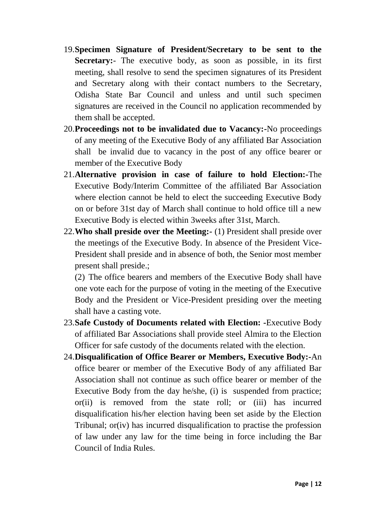- 19.**Specimen Signature of President/Secretary to be sent to the Secretary:**- The executive body, as soon as possible, in its first meeting, shall resolve to send the specimen signatures of its President and Secretary along with their contact numbers to the Secretary, Odisha State Bar Council and unless and until such specimen signatures are received in the Council no application recommended by them shall be accepted.
- 20.**Proceedings not to be invalidated due to Vacancy:-**No proceedings of any meeting of the Executive Body of any affiliated Bar Association shall be invalid due to vacancy in the post of any office bearer or member of the Executive Body
- 21.**Alternative provision in case of failure to hold Election:-**The Executive Body/Interim Committee of the affiliated Bar Association where election cannot be held to elect the succeeding Executive Body on or before 31st day of March shall continue to hold office till a new Executive Body is elected within 3weeks after 31st, March.
- 22.**Who shall preside over the Meeting:-** (1) President shall preside over the meetings of the Executive Body. In absence of the President Vice-President shall preside and in absence of both, the Senior most member present shall preside.;

(2) The office bearers and members of the Executive Body shall have one vote each for the purpose of voting in the meeting of the Executive Body and the President or Vice-President presiding over the meeting shall have a casting vote.

- 23.**Safe Custody of Documents related with Election: -**Executive Body of affiliated Bar Associations shall provide steel Almira to the Election Officer for safe custody of the documents related with the election.
- 24.**Disqualification of Office Bearer or Members, Executive Body:-**An office bearer or member of the Executive Body of any affiliated Bar Association shall not continue as such office bearer or member of the Executive Body from the day he/she, (i) is suspended from practice; or(ii) is removed from the state roll; or (iii) has incurred disqualification his/her election having been set aside by the Election Tribunal; or(iv) has incurred disqualification to practise the profession of law under any law for the time being in force including the Bar Council of India Rules.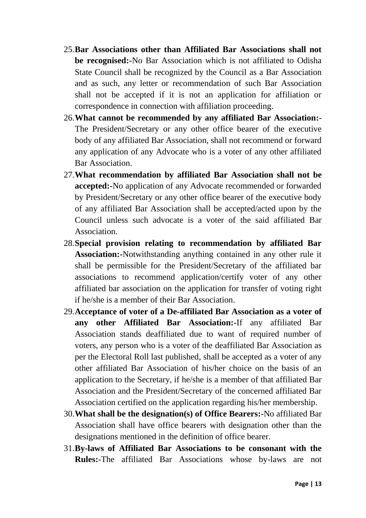- 25.**Bar Associations other than Affiliated Bar Associations shall not be recognised:-**No Bar Association which is not affiliated to Odisha State Council shall be recognized by the Council as a Bar Association and as such, any letter or recommendation of such Bar Association shall not be accepted if it is not an application for affiliation or correspondence in connection with affiliation proceeding.
- 26.**What cannot be recommended by any affiliated Bar Association:-** The President/Secretary or any other office bearer of the executive body of any affiliated Bar Association, shall not recommend or forward any application of any Advocate who is a voter of any other affiliated Bar Association.
- 27.**What recommendation by affiliated Bar Association shall not be accepted:-**No application of any Advocate recommended or forwarded by President/Secretary or any other office bearer of the executive body of any affiliated Bar Association shall be accepted/acted upon by the Council unless such advocate is a voter of the said affiliated Bar Association.
- 28.**Special provision relating to recommendation by affiliated Bar Association:-**Notwithstanding anything contained in any other rule it shall be permissible for the President/Secretary of the affiliated bar associations to recommend application/certify voter of any other affiliated bar association on the application for transfer of voting right if he/she is a member of their Bar Association.
- 29.**Acceptance of voter of a De-affiliated Bar Association as a voter of any other Affiliated Bar Association:-**If any affiliated Bar Association stands deaffiliated due to want of required number of voters, any person who is a voter of the deaffiliated Bar Association as per the Electoral Roll last published, shall be accepted as a voter of any other affiliated Bar Association of his/her choice on the basis of an application to the Secretary, if he/she is a member of that affiliated Bar Association and the President/Secretary of the concerned affiliated Bar Association certified on the application regarding his/her membership.
- 30.**What shall be the designation(s) of Office Bearers:-**No affiliated Bar Association shall have office bearers with designation other than the designations mentioned in the definition of office bearer.
- 31.**By-laws of Affiliated Bar Associations to be consonant with the Rules:-**The affiliated Bar Associations whose by-laws are not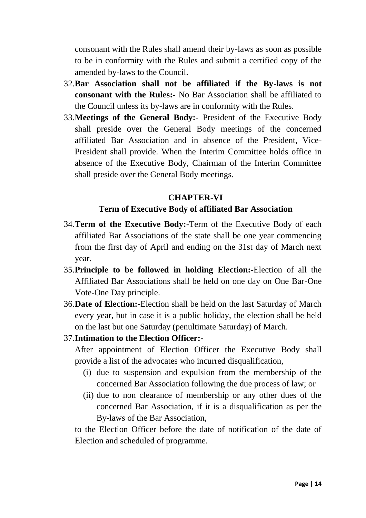consonant with the Rules shall amend their by-laws as soon as possible to be in conformity with the Rules and submit a certified copy of the amended by-laws to the Council.

- 32.**Bar Association shall not be affiliated if the By-laws is not consonant with the Rules:-** No Bar Association shall be affiliated to the Council unless its by-laws are in conformity with the Rules.
- 33.**Meetings of the General Body:-** President of the Executive Body shall preside over the General Body meetings of the concerned affiliated Bar Association and in absence of the President, Vice-President shall provide. When the Interim Committee holds office in absence of the Executive Body, Chairman of the Interim Committee shall preside over the General Body meetings.

#### **CHAPTER-VI**

#### **Term of Executive Body of affiliated Bar Association**

- 34.**Term of the Executive Body:-**Term of the Executive Body of each affiliated Bar Associations of the state shall be one year commencing from the first day of April and ending on the 31st day of March next year.
- 35.**Principle to be followed in holding Election:-**Election of all the Affiliated Bar Associations shall be held on one day on One Bar-One Vote-One Day principle.
- 36.**Date of Election:-**Election shall be held on the last Saturday of March every year, but in case it is a public holiday, the election shall be held on the last but one Saturday (penultimate Saturday) of March.
- 37.**Intimation to the Election Officer:-**

After appointment of Election Officer the Executive Body shall provide a list of the advocates who incurred disqualification,

- (i) due to suspension and expulsion from the membership of the concerned Bar Association following the due process of law; or
- (ii) due to non clearance of membership or any other dues of the concerned Bar Association, if it is a disqualification as per the By-laws of the Bar Association,

to the Election Officer before the date of notification of the date of Election and scheduled of programme.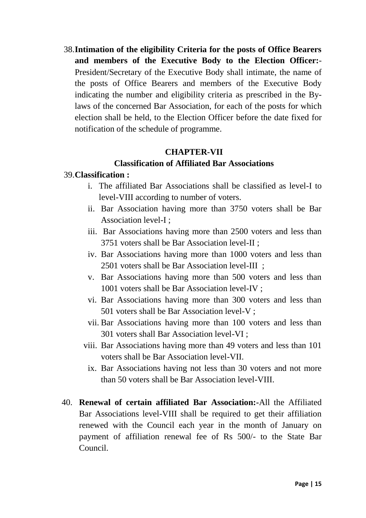38.**Intimation of the eligibility Criteria for the posts of Office Bearers and members of the Executive Body to the Election Officer:**- President/Secretary of the Executive Body shall intimate, the name of the posts of Office Bearers and members of the Executive Body indicating the number and eligibility criteria as prescribed in the Bylaws of the concerned Bar Association, for each of the posts for which election shall be held, to the Election Officer before the date fixed for notification of the schedule of programme.

### **CHAPTER-VII**

### **Classification of Affiliated Bar Associations**

#### 39.**Classification :**

- i. The affiliated Bar Associations shall be classified as level-I to level-VIII according to number of voters.
- ii. Bar Association having more than 3750 voters shall be Bar Association level-I ;
- iii. Bar Associations having more than 2500 voters and less than 3751 voters shall be Bar Association level-II ;
- iv. Bar Associations having more than 1000 voters and less than 2501 voters shall be Bar Association level-III ;
- v. Bar Associations having more than 500 voters and less than 1001 voters shall be Bar Association level-IV ;
- vi. Bar Associations having more than 300 voters and less than 501 voters shall be Bar Association level-V ;
- vii. Bar Associations having more than 100 voters and less than 301 voters shall Bar Association level-VI ;
- viii. Bar Associations having more than 49 voters and less than 101 voters shall be Bar Association level-VII.
	- ix. Bar Associations having not less than 30 voters and not more than 50 voters shall be Bar Association level-VIII.
- 40. **Renewal of certain affiliated Bar Association:-**All the Affiliated Bar Associations level-VIII shall be required to get their affiliation renewed with the Council each year in the month of January on payment of affiliation renewal fee of Rs 500/- to the State Bar Council.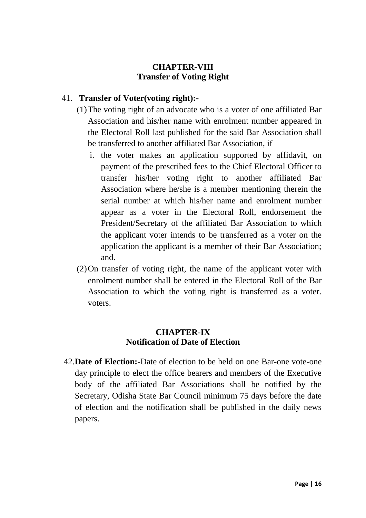# **CHAPTER-VIII Transfer of Voting Right**

# 41. **Transfer of Voter(voting right):-**

- (1)The voting right of an advocate who is a voter of one affiliated Bar Association and his/her name with enrolment number appeared in the Electoral Roll last published for the said Bar Association shall be transferred to another affiliated Bar Association, if
	- i. the voter makes an application supported by affidavit, on payment of the prescribed fees to the Chief Electoral Officer to transfer his/her voting right to another affiliated Bar Association where he/she is a member mentioning therein the serial number at which his/her name and enrolment number appear as a voter in the Electoral Roll, endorsement the President/Secretary of the affiliated Bar Association to which the applicant voter intends to be transferred as a voter on the application the applicant is a member of their Bar Association; and.
- (2)On transfer of voting right, the name of the applicant voter with enrolment number shall be entered in the Electoral Roll of the Bar Association to which the voting right is transferred as a voter. voters.

# **CHAPTER-IX Notification of Date of Election**

42.**Date of Election:-**Date of election to be held on one Bar-one vote-one day principle to elect the office bearers and members of the Executive body of the affiliated Bar Associations shall be notified by the Secretary, Odisha State Bar Council minimum 75 days before the date of election and the notification shall be published in the daily news papers.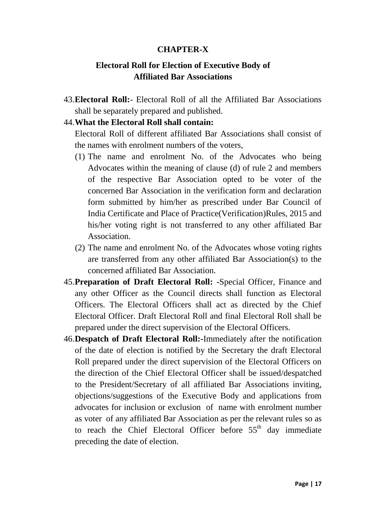### **CHAPTER-X**

# **Electoral Roll for Election of Executive Body of Affiliated Bar Associations**

43.**Electoral Roll:**- Electoral Roll of all the Affiliated Bar Associations shall be separately prepared and published.

#### 44.**What the Electoral Roll shall contain:**

Electoral Roll of different affiliated Bar Associations shall consist of the names with enrolment numbers of the voters,

- (1) The name and enrolment No. of the Advocates who being Advocates within the meaning of clause (d) of rule 2 and members of the respective Bar Association opted to be voter of the concerned Bar Association in the verification form and declaration form submitted by him/her as prescribed under Bar Council of India Certificate and Place of Practice(Verification)Rules, 2015 and his/her voting right is not transferred to any other affiliated Bar **Association**
- (2) The name and enrolment No. of the Advocates whose voting rights are transferred from any other affiliated Bar Association(s) to the concerned affiliated Bar Association.
- 45.**Preparation of Draft Electoral Roll: -**Special Officer, Finance and any other Officer as the Council directs shall function as Electoral Officers. The Electoral Officers shall act as directed by the Chief Electoral Officer. Draft Electoral Roll and final Electoral Roll shall be prepared under the direct supervision of the Electoral Officers.
- 46.**Despatch of Draft Electoral Roll:-**Immediately after the notification of the date of election is notified by the Secretary the draft Electoral Roll prepared under the direct supervision of the Electoral Officers on the direction of the Chief Electoral Officer shall be issued/despatched to the President/Secretary of all affiliated Bar Associations inviting, objections/suggestions of the Executive Body and applications from advocates for inclusion or exclusion of name with enrolment number as voter of any affiliated Bar Association as per the relevant rules so as to reach the Chief Electoral Officer before  $55<sup>th</sup>$  day immediate preceding the date of election.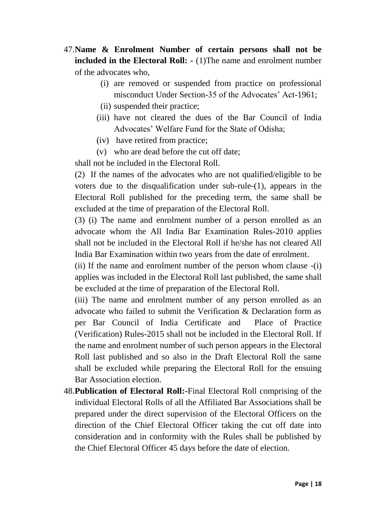- 47.**Name & Enrolment Number of certain persons shall not be included in the Electoral Roll: -** (1)The name and enrolment number of the advocates who,
	- (i) are removed or suspended from practice on professional misconduct Under Section-35 of the Advocates' Act-1961:
	- (ii) suspended their practice;
	- (iii) have not cleared the dues of the Bar Council of India Advocates" Welfare Fund for the State of Odisha;
	- (iv) have retired from practice;
	- (v) who are dead before the cut off date;

shall not be included in the Electoral Roll.

(2) If the names of the advocates who are not qualified/eligible to be voters due to the disqualification under sub-rule-(1), appears in the Electoral Roll published for the preceding term, the same shall be excluded at the time of preparation of the Electoral Roll.

(3) (i) The name and enrolment number of a person enrolled as an advocate whom the All India Bar Examination Rules-2010 applies shall not be included in the Electoral Roll if he/she has not cleared All India Bar Examination within two years from the date of enrolment.

(ii) If the name and enrolment number of the person whom clause -(i) applies was included in the Electoral Roll last published, the same shall be excluded at the time of preparation of the Electoral Roll.

(iii) The name and enrolment number of any person enrolled as an advocate who failed to submit the Verification & Declaration form as per Bar Council of India Certificate and Place of Practice (Verification) Rules-2015 shall not be included in the Electoral Roll. If the name and enrolment number of such person appears in the Electoral Roll last published and so also in the Draft Electoral Roll the same shall be excluded while preparing the Electoral Roll for the ensuing Bar Association election.

48.**Publication of Electoral Roll:-**Final Electoral Roll comprising of the individual Electoral Rolls of all the Affiliated Bar Associations shall be prepared under the direct supervision of the Electoral Officers on the direction of the Chief Electoral Officer taking the cut off date into consideration and in conformity with the Rules shall be published by the Chief Electoral Officer 45 days before the date of election.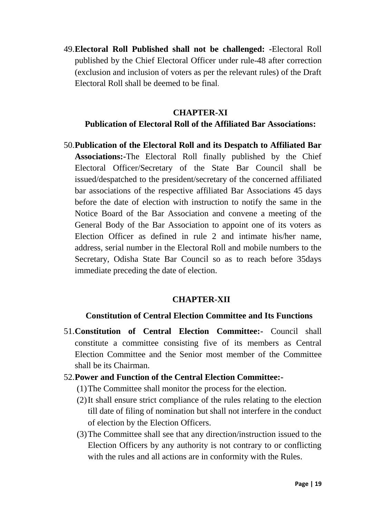49.**Electoral Roll Published shall not be challenged: -**Electoral Roll published by the Chief Electoral Officer under rule-48 after correction (exclusion and inclusion of voters as per the relevant rules) of the Draft Electoral Roll shall be deemed to be final.

#### **CHAPTER-XI**

### **Publication of Electoral Roll of the Affiliated Bar Associations:**

50.**Publication of the Electoral Roll and its Despatch to Affiliated Bar Associations:-**The Electoral Roll finally published by the Chief Electoral Officer/Secretary of the State Bar Council shall be issued/despatched to the president/secretary of the concerned affiliated bar associations of the respective affiliated Bar Associations 45 days before the date of election with instruction to notify the same in the Notice Board of the Bar Association and convene a meeting of the General Body of the Bar Association to appoint one of its voters as Election Officer as defined in rule 2 and intimate his/her name, address, serial number in the Electoral Roll and mobile numbers to the Secretary, Odisha State Bar Council so as to reach before 35days immediate preceding the date of election.

## **CHAPTER-XII**

#### **Constitution of Central Election Committee and Its Functions**

- 51.**Constitution of Central Election Committee:-** Council shall constitute a committee consisting five of its members as Central Election Committee and the Senior most member of the Committee shall be its Chairman.
- 52.**Power and Function of the Central Election Committee:-**
	- (1)The Committee shall monitor the process for the election.
	- (2)It shall ensure strict compliance of the rules relating to the election till date of filing of nomination but shall not interfere in the conduct of election by the Election Officers.
	- (3)The Committee shall see that any direction/instruction issued to the Election Officers by any authority is not contrary to or conflicting with the rules and all actions are in conformity with the Rules.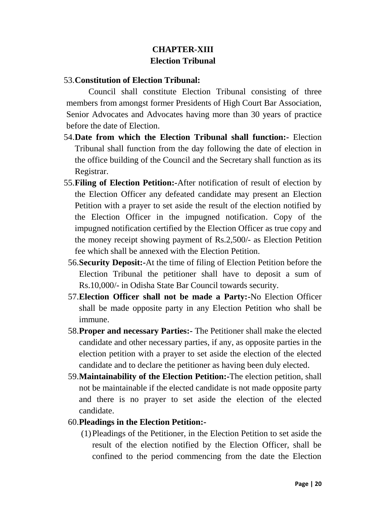# **CHAPTER-XIII Election Tribunal**

# 53.**Constitution of Election Tribunal:**

Council shall constitute Election Tribunal consisting of three members from amongst former Presidents of High Court Bar Association, Senior Advocates and Advocates having more than 30 years of practice before the date of Election.

- 54.**Date from which the Election Tribunal shall function:-** Election Tribunal shall function from the day following the date of election in the office building of the Council and the Secretary shall function as its Registrar.
- 55.**Filing of Election Petition:-**After notification of result of election by the Election Officer any defeated candidate may present an Election Petition with a prayer to set aside the result of the election notified by the Election Officer in the impugned notification. Copy of the impugned notification certified by the Election Officer as true copy and the money receipt showing payment of Rs.2,500/- as Election Petition fee which shall be annexed with the Election Petition.
	- 56.**Security Deposit:-**At the time of filing of Election Petition before the Election Tribunal the petitioner shall have to deposit a sum of Rs.10,000/- in Odisha State Bar Council towards security.
	- 57.**Election Officer shall not be made a Party:-**No Election Officer shall be made opposite party in any Election Petition who shall be immune.
	- 58.**Proper and necessary Parties:-** The Petitioner shall make the elected candidate and other necessary parties, if any, as opposite parties in the election petition with a prayer to set aside the election of the elected candidate and to declare the petitioner as having been duly elected.
	- 59.**Maintainability of the Election Petition:-**The election petition, shall not be maintainable if the elected candidate is not made opposite party and there is no prayer to set aside the election of the elected candidate.

## 60.**Pleadings in the Election Petition:-**

(1)Pleadings of the Petitioner, in the Election Petition to set aside the result of the election notified by the Election Officer, shall be confined to the period commencing from the date the Election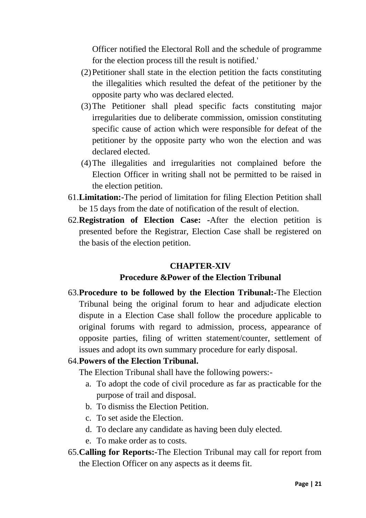Officer notified the Electoral Roll and the schedule of programme for the election process till the result is notified.'

- (2)Petitioner shall state in the election petition the facts constituting the illegalities which resulted the defeat of the petitioner by the opposite party who was declared elected.
- (3)The Petitioner shall plead specific facts constituting major irregularities due to deliberate commission, omission constituting specific cause of action which were responsible for defeat of the petitioner by the opposite party who won the election and was declared elected.
- (4)The illegalities and irregularities not complained before the Election Officer in writing shall not be permitted to be raised in the election petition.
- 61.**Limitation:-**The period of limitation for filing Election Petition shall be 15 days from the date of notification of the result of election.
- 62.**Registration of Election Case: -**After the election petition is presented before the Registrar, Election Case shall be registered on the basis of the election petition.

## **CHAPTER-XIV**

## **Procedure &Power of the Election Tribunal**

63.**Procedure to be followed by the Election Tribunal:-**The Election Tribunal being the original forum to hear and adjudicate election dispute in a Election Case shall follow the procedure applicable to original forums with regard to admission, process, appearance of opposite parties, filing of written statement/counter, settlement of issues and adopt its own summary procedure for early disposal.

#### 64.**Powers of the Election Tribunal.**

The Election Tribunal shall have the following powers:-

- a. To adopt the code of civil procedure as far as practicable for the purpose of trail and disposal.
- b. To dismiss the Election Petition.
- c. To set aside the Election.
- d. To declare any candidate as having been duly elected.
- e. To make order as to costs.
- 65.**Calling for Reports:-**The Election Tribunal may call for report from the Election Officer on any aspects as it deems fit.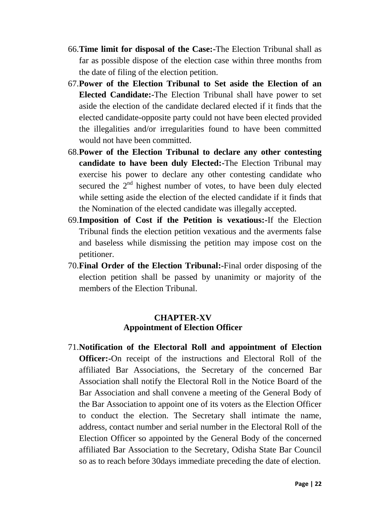- 66.**Time limit for disposal of the Case:-**The Election Tribunal shall as far as possible dispose of the election case within three months from the date of filing of the election petition.
- 67.**Power of the Election Tribunal to Set aside the Election of an Elected Candidate:-**The Election Tribunal shall have power to set aside the election of the candidate declared elected if it finds that the elected candidate-opposite party could not have been elected provided the illegalities and/or irregularities found to have been committed would not have been committed.
- 68.**Power of the Election Tribunal to declare any other contesting candidate to have been duly Elected:-**The Election Tribunal may exercise his power to declare any other contesting candidate who secured the  $2<sup>nd</sup>$  highest number of votes, to have been duly elected while setting aside the election of the elected candidate if it finds that the Nomination of the elected candidate was illegally accepted.
- 69.**Imposition of Cost if the Petition is vexatious:-**If the Election Tribunal finds the election petition vexatious and the averments false and baseless while dismissing the petition may impose cost on the petitioner.
- 70.**Final Order of the Election Tribunal:-**Final order disposing of the election petition shall be passed by unanimity or majority of the members of the Election Tribunal.

# **CHAPTER-XV Appointment of Election Officer**

71.**Notification of the Electoral Roll and appointment of Election Officer:-**On receipt of the instructions and Electoral Roll of the affiliated Bar Associations, the Secretary of the concerned Bar Association shall notify the Electoral Roll in the Notice Board of the Bar Association and shall convene a meeting of the General Body of the Bar Association to appoint one of its voters as the Election Officer to conduct the election. The Secretary shall intimate the name, address, contact number and serial number in the Electoral Roll of the Election Officer so appointed by the General Body of the concerned affiliated Bar Association to the Secretary, Odisha State Bar Council so as to reach before 30days immediate preceding the date of election.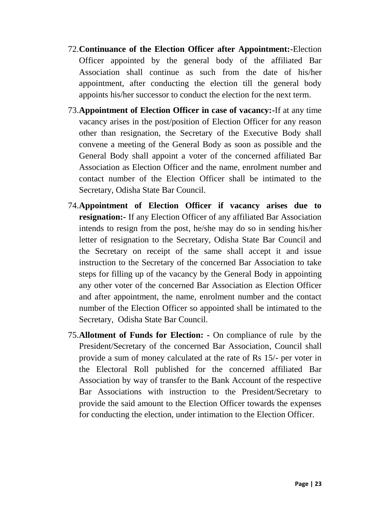- 72.**Continuance of the Election Officer after Appointment:-**Election Officer appointed by the general body of the affiliated Bar Association shall continue as such from the date of his/her appointment, after conducting the election till the general body appoints his/her successor to conduct the election for the next term.
- 73.**Appointment of Election Officer in case of vacancy:-**If at any time vacancy arises in the post/position of Election Officer for any reason other than resignation, the Secretary of the Executive Body shall convene a meeting of the General Body as soon as possible and the General Body shall appoint a voter of the concerned affiliated Bar Association as Election Officer and the name, enrolment number and contact number of the Election Officer shall be intimated to the Secretary, Odisha State Bar Council.
- 74.**Appointment of Election Officer if vacancy arises due to resignation:-** If any Election Officer of any affiliated Bar Association intends to resign from the post, he/she may do so in sending his/her letter of resignation to the Secretary, Odisha State Bar Council and the Secretary on receipt of the same shall accept it and issue instruction to the Secretary of the concerned Bar Association to take steps for filling up of the vacancy by the General Body in appointing any other voter of the concerned Bar Association as Election Officer and after appointment, the name, enrolment number and the contact number of the Election Officer so appointed shall be intimated to the Secretary, Odisha State Bar Council.
- 75.**Allotment of Funds for Election: -** On compliance of rule by the President/Secretary of the concerned Bar Association, Council shall provide a sum of money calculated at the rate of Rs 15/- per voter in the Electoral Roll published for the concerned affiliated Bar Association by way of transfer to the Bank Account of the respective Bar Associations with instruction to the President/Secretary to provide the said amount to the Election Officer towards the expenses for conducting the election, under intimation to the Election Officer.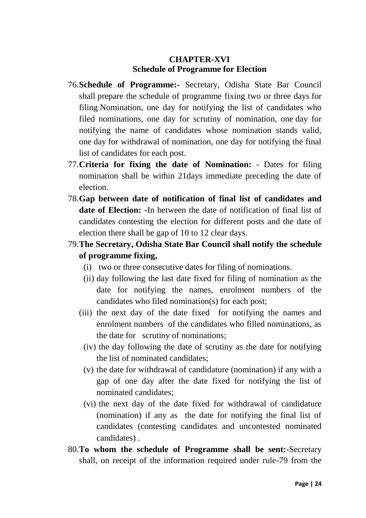# **CHAPTER-XVI Schedule of Programme for Election**

- 76.**Schedule of Programme:-** Secretary, Odisha State Bar Council shall prepare the schedule of programme fixing two or three days for filing Nomination, one day for notifying the list of candidates who filed nominations, one day for scrutiny of nomination, one day for notifying the name of candidates whose nomination stands valid, one day for withdrawal of nomination, one day for notifying the final list of candidates for each post.
- 77.**Criteria for fixing the date of Nomination:** Dates for filing nomination shall be within 21days immediate preceding the date of election.
- 78.**Gap between date of notification of final list of candidates and date of Election: -**In between the date of notification of final list of candidates contesting the election for different posts and the date of election there shall be gap of 10 to 12 clear days.
- 79.**The Secretary, Odisha State Bar Council shall notify the schedule of programme fixing,**
	- (i) two or three consecutive dates for filing of nominations.
	- (ii) day following the last date fixed for filing of nomination as the date for notifying the names, enrolment numbers of the candidates who filed nomination(s) for each post;
	- (iii) the next day of the date fixed for notifying the names and enrolment numbers of the candidates who filled nominations, as the date for scrutiny of nominations;
		- (iv) the day following the date of scrutiny as the date for notifying the list of nominated candidates;
		- (v) the date for withdrawal of candidature (nomination) if any with a gap of one day after the date fixed for notifying the list of nominated candidates;
		- (vi) the next day of the date fixed for withdrawal of candidature (nomination) if any as the date for notifying the final list of candidates (contesting candidates and uncontested nominated candidates) .
- 80.**To whom the schedule of Programme shall be sent:-**Secretary shall, on receipt of the information required under rule-79 from the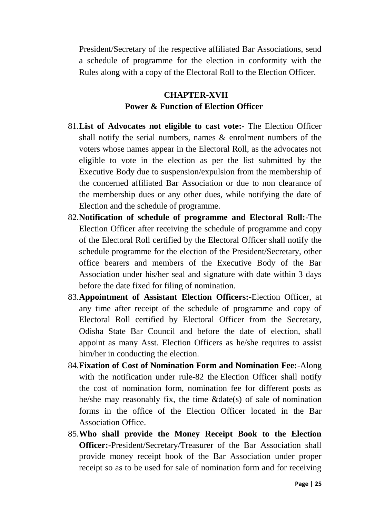President/Secretary of the respective affiliated Bar Associations, send a schedule of programme for the election in conformity with the Rules along with a copy of the Electoral Roll to the Election Officer.

# **CHAPTER-XVII Power & Function of Election Officer**

- 81.**List of Advocates not eligible to cast vote:-** The Election Officer shall notify the serial numbers, names & enrolment numbers of the voters whose names appear in the Electoral Roll, as the advocates not eligible to vote in the election as per the list submitted by the Executive Body due to suspension/expulsion from the membership of the concerned affiliated Bar Association or due to non clearance of the membership dues or any other dues, while notifying the date of Election and the schedule of programme.
- 82.**Notification of schedule of programme and Electoral Roll:-**The Election Officer after receiving the schedule of programme and copy of the Electoral Roll certified by the Electoral Officer shall notify the schedule programme for the election of the President/Secretary, other office bearers and members of the Executive Body of the Bar Association under his/her seal and signature with date within 3 days before the date fixed for filing of nomination.
- 83.**Appointment of Assistant Election Officers:-**Election Officer, at any time after receipt of the schedule of programme and copy of Electoral Roll certified by Electoral Officer from the Secretary, Odisha State Bar Council and before the date of election, shall appoint as many Asst. Election Officers as he/she requires to assist him/her in conducting the election.
- 84.**Fixation of Cost of Nomination Form and Nomination Fee:-**Along with the notification under rule-82 the Election Officer shall notify the cost of nomination form, nomination fee for different posts as he/she may reasonably fix, the time &date(s) of sale of nomination forms in the office of the Election Officer located in the Bar Association Office.
- 85.**Who shall provide the Money Receipt Book to the Election Officer:-**President/Secretary/Treasurer of the Bar Association shall provide money receipt book of the Bar Association under proper receipt so as to be used for sale of nomination form and for receiving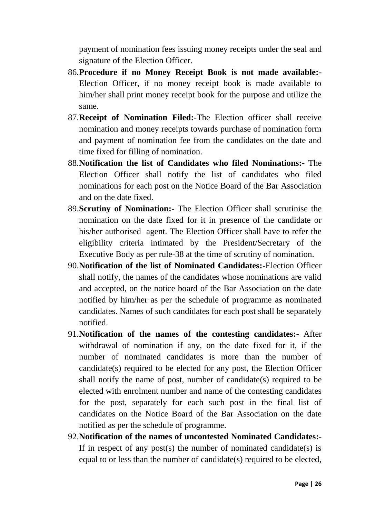payment of nomination fees issuing money receipts under the seal and signature of the Election Officer.

- 86.**Procedure if no Money Receipt Book is not made available:-** Election Officer, if no money receipt book is made available to him/her shall print money receipt book for the purpose and utilize the same.
- 87.**Receipt of Nomination Filed:-**The Election officer shall receive nomination and money receipts towards purchase of nomination form and payment of nomination fee from the candidates on the date and time fixed for filling of nomination.
- 88.**Notification the list of Candidates who filed Nominations:-** The Election Officer shall notify the list of candidates who filed nominations for each post on the Notice Board of the Bar Association and on the date fixed.
- 89.**Scrutiny of Nomination:-** The Election Officer shall scrutinise the nomination on the date fixed for it in presence of the candidate or his/her authorised agent. The Election Officer shall have to refer the eligibility criteria intimated by the President/Secretary of the Executive Body as per rule-38 at the time of scrutiny of nomination.
- 90.**Notification of the list of Nominated Candidates:-**Election Officer shall notify, the names of the candidates whose nominations are valid and accepted, on the notice board of the Bar Association on the date notified by him/her as per the schedule of programme as nominated candidates. Names of such candidates for each post shall be separately notified.
- 91.**Notification of the names of the contesting candidates:-** After withdrawal of nomination if any, on the date fixed for it, if the number of nominated candidates is more than the number of candidate(s) required to be elected for any post, the Election Officer shall notify the name of post, number of candidate(s) required to be elected with enrolment number and name of the contesting candidates for the post, separately for each such post in the final list of candidates on the Notice Board of the Bar Association on the date notified as per the schedule of programme.
- 92.**Notification of the names of uncontested Nominated Candidates:-** If in respect of any post(s) the number of nominated candidate(s) is equal to or less than the number of candidate(s) required to be elected,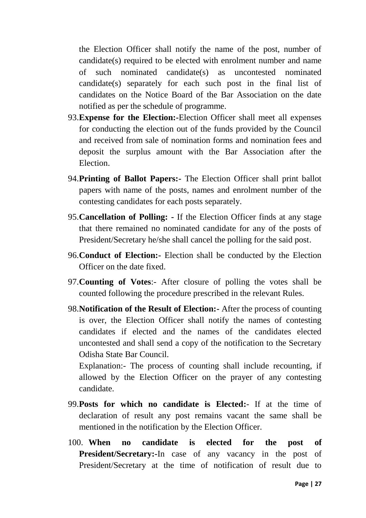the Election Officer shall notify the name of the post, number of candidate(s) required to be elected with enrolment number and name of such nominated candidate(s) as uncontested nominated candidate(s) separately for each such post in the final list of candidates on the Notice Board of the Bar Association on the date notified as per the schedule of programme.

- 93.**Expense for the Election:-**Election Officer shall meet all expenses for conducting the election out of the funds provided by the Council and received from sale of nomination forms and nomination fees and deposit the surplus amount with the Bar Association after the Election.
- 94.**Printing of Ballot Papers:-** The Election Officer shall print ballot papers with name of the posts, names and enrolment number of the contesting candidates for each posts separately.
- 95.**Cancellation of Polling: -** If the Election Officer finds at any stage that there remained no nominated candidate for any of the posts of President/Secretary he/she shall cancel the polling for the said post.
- 96.**Conduct of Election:-** Election shall be conducted by the Election Officer on the date fixed.
- 97.**Counting of Votes**:- After closure of polling the votes shall be counted following the procedure prescribed in the relevant Rules.
- 98.**Notification of the Result of Election:-** After the process of counting is over, the Election Officer shall notify the names of contesting candidates if elected and the names of the candidates elected uncontested and shall send a copy of the notification to the Secretary Odisha State Bar Council.

Explanation:- The process of counting shall include recounting, if allowed by the Election Officer on the prayer of any contesting candidate.

- 99.**Posts for which no candidate is Elected:** If at the time of declaration of result any post remains vacant the same shall be mentioned in the notification by the Election Officer.
- 100. **When no candidate is elected for the post of President/Secretary:-In** case of any vacancy in the post of President/Secretary at the time of notification of result due to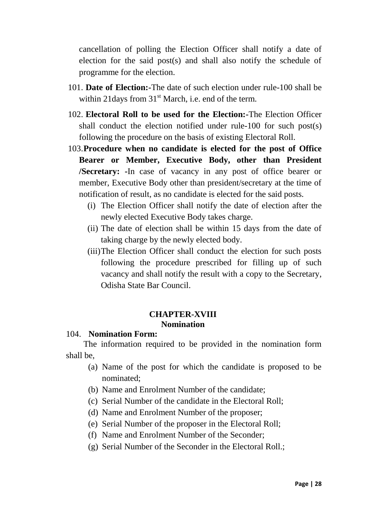cancellation of polling the Election Officer shall notify a date of election for the said post(s) and shall also notify the schedule of programme for the election.

- 101. **Date of Election:-**The date of such election under rule-100 shall be within 21 days from  $31<sup>st</sup>$  March, i.e. end of the term.
- 102. **Electoral Roll to be used for the Election:-**The Election Officer shall conduct the election notified under rule-100 for such post(s) following the procedure on the basis of existing Electoral Roll.
- 103.**Procedure when no candidate is elected for the post of Office Bearer or Member, Executive Body, other than President /Secretary: -**In case of vacancy in any post of office bearer or member, Executive Body other than president/secretary at the time of notification of result, as no candidate is elected for the said posts.
	- (i) The Election Officer shall notify the date of election after the newly elected Executive Body takes charge.
	- (ii) The date of election shall be within 15 days from the date of taking charge by the newly elected body.
	- (iii)The Election Officer shall conduct the election for such posts following the procedure prescribed for filling up of such vacancy and shall notify the result with a copy to the Secretary, Odisha State Bar Council.

## **CHAPTER-XVIII Nomination**

#### 104. **Nomination Form:**

The information required to be provided in the nomination form shall be,

- (a) Name of the post for which the candidate is proposed to be nominated;
- (b) Name and Enrolment Number of the candidate;
- (c) Serial Number of the candidate in the Electoral Roll;
- (d) Name and Enrolment Number of the proposer;
- (e) Serial Number of the proposer in the Electoral Roll;
- (f) Name and Enrolment Number of the Seconder;
- (g) Serial Number of the Seconder in the Electoral Roll.;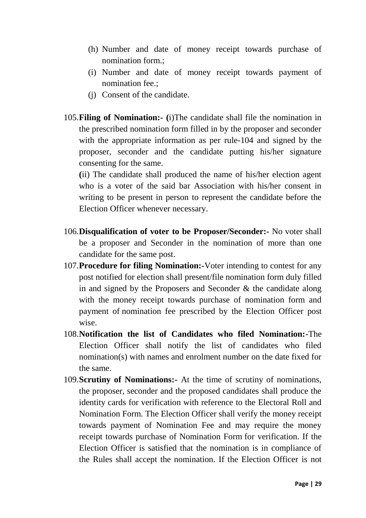- (h) Number and date of money receipt towards purchase of nomination form.;
- (i) Number and date of money receipt towards payment of nomination fee.;
- (j) Consent of the candidate.
- 105.**Filing of Nomination:- (**i)The candidate shall file the nomination in the prescribed nomination form filled in by the proposer and seconder with the appropriate information as per rule-104 and signed by the proposer, seconder and the candidate putting his/her signature consenting for the same.

**(**ii) The candidate shall produced the name of his/her election agent who is a voter of the said bar Association with his/her consent in writing to be present in person to represent the candidate before the Election Officer whenever necessary.

- 106.**Disqualification of voter to be Proposer/Seconder:-** No voter shall be a proposer and Seconder in the nomination of more than one candidate for the same post.
- 107.**Procedure for filing Nomination:-**Voter intending to contest for any post notified for election shall present/file nomination form duly filled in and signed by the Proposers and Seconder & the candidate along with the money receipt towards purchase of nomination form and payment of nomination fee prescribed by the Election Officer post wise.
- 108.**Notification the list of Candidates who filed Nomination:-**The Election Officer shall notify the list of candidates who filed nomination(s) with names and enrolment number on the date fixed for the same.
- 109.**Scrutiny of Nominations:-** At the time of scrutiny of nominations, the proposer, seconder and the proposed candidates shall produce the identity cards for verification with reference to the Electoral Roll and Nomination Form. The Election Officer shall verify the money receipt towards payment of Nomination Fee and may require the money receipt towards purchase of Nomination Form for verification. If the Election Officer is satisfied that the nomination is in compliance of the Rules shall accept the nomination. If the Election Officer is not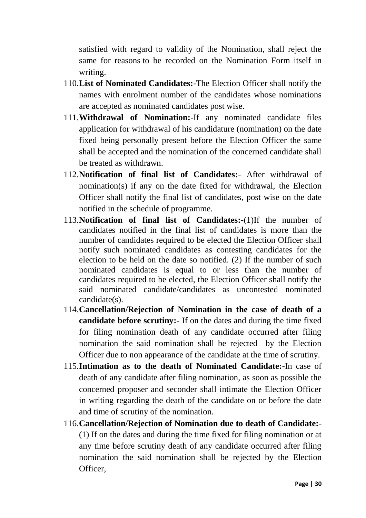satisfied with regard to validity of the Nomination, shall reject the same for reasons to be recorded on the Nomination Form itself in writing.

- 110.**List of Nominated Candidates:-**The Election Officer shall notify the names with enrolment number of the candidates whose nominations are accepted as nominated candidates post wise.
- 111.**Withdrawal of Nomination:-**If any nominated candidate files application for withdrawal of his candidature (nomination) on the date fixed being personally present before the Election Officer the same shall be accepted and the nomination of the concerned candidate shall be treated as withdrawn.
- 112.**Notification of final list of Candidates:** After withdrawal of nomination(s) if any on the date fixed for withdrawal, the Election Officer shall notify the final list of candidates, post wise on the date notified in the schedule of programme.
- 113.**Notification of final list of Candidates:-**(1)If the number of candidates notified in the final list of candidates is more than the number of candidates required to be elected the Election Officer shall notify such nominated candidates as contesting candidates for the election to be held on the date so notified. (2) If the number of such nominated candidates is equal to or less than the number of candidates required to be elected, the Election Officer shall notify the said nominated candidate/candidates as uncontested nominated candidate(s).
- 114.**Cancellation/Rejection of Nomination in the case of death of a candidate before scrutiny:-** If on the dates and during the time fixed for filing nomination death of any candidate occurred after filing nomination the said nomination shall be rejected by the Election Officer due to non appearance of the candidate at the time of scrutiny.
- 115.**Intimation as to the death of Nominated Candidate:-**In case of death of any candidate after filing nomination, as soon as possible the concerned proposer and seconder shall intimate the Election Officer in writing regarding the death of the candidate on or before the date and time of scrutiny of the nomination.
- 116.**Cancellation/Rejection of Nomination due to death of Candidate:-** (1) If on the dates and during the time fixed for filing nomination or at any time before scrutiny death of any candidate occurred after filing nomination the said nomination shall be rejected by the Election Officer,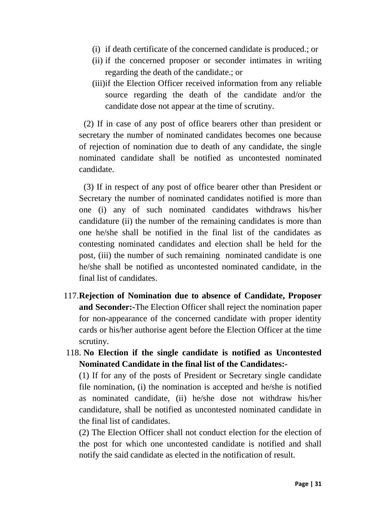- (i) if death certificate of the concerned candidate is produced.; or
- (ii) if the concerned proposer or seconder intimates in writing regarding the death of the candidate.; or
- (iii)if the Election Officer received information from any reliable source regarding the death of the candidate and/or the candidate dose not appear at the time of scrutiny.

(2) If in case of any post of office bearers other than president or secretary the number of nominated candidates becomes one because of rejection of nomination due to death of any candidate, the single nominated candidate shall be notified as uncontested nominated candidate.

(3) If in respect of any post of office bearer other than President or Secretary the number of nominated candidates notified is more than one (i) any of such nominated candidates withdraws his/her candidature (ii) the number of the remaining candidates is more than one he/she shall be notified in the final list of the candidates as contesting nominated candidates and election shall be held for the post, (iii) the number of such remaining nominated candidate is one he/she shall be notified as uncontested nominated candidate, in the final list of candidates.

- 117.**Rejection of Nomination due to absence of Candidate, Proposer and Seconder:-**The Election Officer shall reject the nomination paper for non-appearance of the concerned candidate with proper identity cards or his/her authorise agent before the Election Officer at the time scrutiny.
- 118. **No Election if the single candidate is notified as Uncontested Nominated Candidate in the final list of the Candidates:-**

(1) If for any of the posts of President or Secretary single candidate file nomination, (i) the nomination is accepted and he/she is notified as nominated candidate, (ii) he/she dose not withdraw his/her candidature, shall be notified as uncontested nominated candidate in the final list of candidates.

(2) The Election Officer shall not conduct election for the election of the post for which one uncontested candidate is notified and shall notify the said candidate as elected in the notification of result.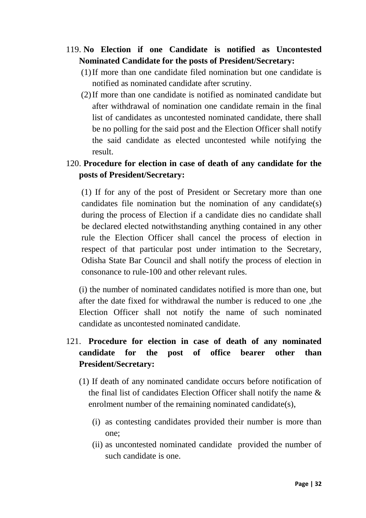- 119. **No Election if one Candidate is notified as Uncontested Nominated Candidate for the posts of President/Secretary:**
	- (1)If more than one candidate filed nomination but one candidate is notified as nominated candidate after scrutiny.
	- (2)If more than one candidate is notified as nominated candidate but after withdrawal of nomination one candidate remain in the final list of candidates as uncontested nominated candidate, there shall be no polling for the said post and the Election Officer shall notify the said candidate as elected uncontested while notifying the result.
- 120. **Procedure for election in case of death of any candidate for the posts of President/Secretary:**

(1) If for any of the post of President or Secretary more than one candidates file nomination but the nomination of any candidate(s) during the process of Election if a candidate dies no candidate shall be declared elected notwithstanding anything contained in any other rule the Election Officer shall cancel the process of election in respect of that particular post under intimation to the Secretary, Odisha State Bar Council and shall notify the process of election in consonance to rule-100 and other relevant rules.

(i) the number of nominated candidates notified is more than one, but after the date fixed for withdrawal the number is reduced to one ,the Election Officer shall not notify the name of such nominated candidate as uncontested nominated candidate.

# 121. **Procedure for election in case of death of any nominated candidate for the post of office bearer other than President/Secretary:**

- (1) If death of any nominated candidate occurs before notification of the final list of candidates Election Officer shall notify the name & enrolment number of the remaining nominated candidate(s),
	- (i) as contesting candidates provided their number is more than one;
	- (ii) as uncontested nominated candidate provided the number of such candidate is one.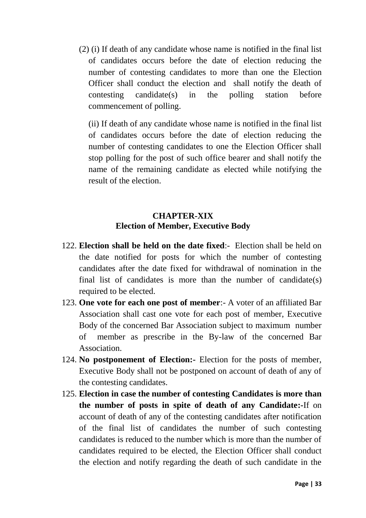(2) (i) If death of any candidate whose name is notified in the final list of candidates occurs before the date of election reducing the number of contesting candidates to more than one the Election Officer shall conduct the election and shall notify the death of contesting candidate(s) in the polling station before commencement of polling.

(ii) If death of any candidate whose name is notified in the final list of candidates occurs before the date of election reducing the number of contesting candidates to one the Election Officer shall stop polling for the post of such office bearer and shall notify the name of the remaining candidate as elected while notifying the result of the election.

# **CHAPTER-XIX Election of Member, Executive Body**

- 122. **Election shall be held on the date fixed**:- Election shall be held on the date notified for posts for which the number of contesting candidates after the date fixed for withdrawal of nomination in the final list of candidates is more than the number of candidate(s) required to be elected.
- 123. **One vote for each one post of member**:- A voter of an affiliated Bar Association shall cast one vote for each post of member, Executive Body of the concerned Bar Association subject to maximum number of member as prescribe in the By-law of the concerned Bar Association.
- 124. **No postponement of Election:-** Election for the posts of member, Executive Body shall not be postponed on account of death of any of the contesting candidates.
- 125. **Election in case the number of contesting Candidates is more than the number of posts in spite of death of any Candidate:-**If on account of death of any of the contesting candidates after notification of the final list of candidates the number of such contesting candidates is reduced to the number which is more than the number of candidates required to be elected, the Election Officer shall conduct the election and notify regarding the death of such candidate in the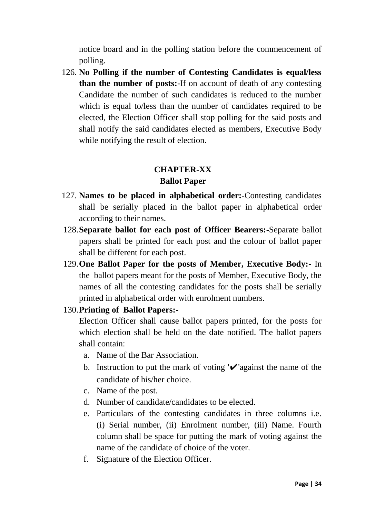notice board and in the polling station before the commencement of polling.

126. **No Polling if the number of Contesting Candidates is equal/less than the number of posts:-**If on account of death of any contesting Candidate the number of such candidates is reduced to the number which is equal to/less than the number of candidates required to be elected, the Election Officer shall stop polling for the said posts and shall notify the said candidates elected as members, Executive Body while notifying the result of election.

# **CHAPTER-XX Ballot Paper**

- 127. **Names to be placed in alphabetical order:-**Contesting candidates shall be serially placed in the ballot paper in alphabetical order according to their names.
- 128.**Separate ballot for each post of Officer Bearers:-**Separate ballot papers shall be printed for each post and the colour of ballot paper shall be different for each post.
- 129.**One Ballot Paper for the posts of Member, Executive Body:-** In the ballot papers meant for the posts of Member, Executive Body, the names of all the contesting candidates for the posts shall be serially printed in alphabetical order with enrolment numbers.
- 130.**Printing of Ballot Papers:-**

Election Officer shall cause ballot papers printed, for the posts for which election shall be held on the date notified. The ballot papers shall contain:

- a. Name of the Bar Association.
- b. Instruction to put the mark of voting  $\mathbf{v}'$  against the name of the candidate of his/her choice.
- c. Name of the post.
- d. Number of candidate/candidates to be elected.
- e. Particulars of the contesting candidates in three columns i.e. (i) Serial number, (ii) Enrolment number, (iii) Name. Fourth column shall be space for putting the mark of voting against the name of the candidate of choice of the voter.
- f. Signature of the Election Officer.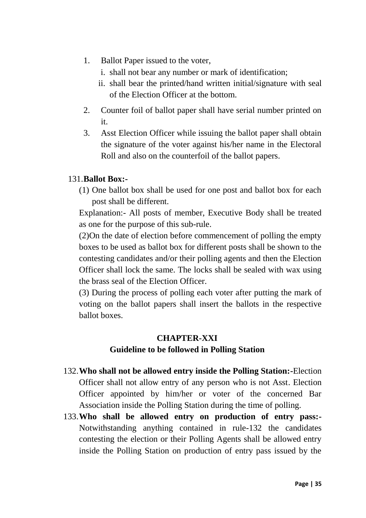- 1. Ballot Paper issued to the voter,
	- i. shall not bear any number or mark of identification;
	- ii. shall bear the printed/hand written initial/signature with seal of the Election Officer at the bottom.
- 2. Counter foil of ballot paper shall have serial number printed on it.
- 3. Asst Election Officer while issuing the ballot paper shall obtain the signature of the voter against his/her name in the Electoral Roll and also on the counterfoil of the ballot papers.

## 131.**Ballot Box:-**

(1) One ballot box shall be used for one post and ballot box for each post shall be different.

Explanation:- All posts of member, Executive Body shall be treated as one for the purpose of this sub-rule.

(2)On the date of election before commencement of polling the empty boxes to be used as ballot box for different posts shall be shown to the contesting candidates and/or their polling agents and then the Election Officer shall lock the same. The locks shall be sealed with wax using the brass seal of the Election Officer.

(3) During the process of polling each voter after putting the mark of voting on the ballot papers shall insert the ballots in the respective ballot boxes.

# **CHAPTER-XXI Guideline to be followed in Polling Station**

- 132.**Who shall not be allowed entry inside the Polling Station:-**Election Officer shall not allow entry of any person who is not Asst. Election Officer appointed by him/her or voter of the concerned Bar Association inside the Polling Station during the time of polling.
- 133.**Who shall be allowed entry on production of entry pass:-** Notwithstanding anything contained in rule-132 the candidates contesting the election or their Polling Agents shall be allowed entry inside the Polling Station on production of entry pass issued by the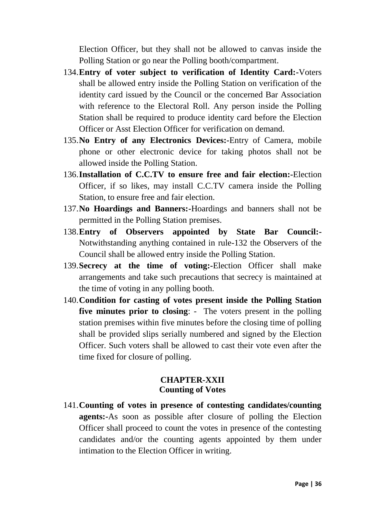Election Officer, but they shall not be allowed to canvas inside the Polling Station or go near the Polling booth/compartment.

- 134.**Entry of voter subject to verification of Identity Card:-**Voters shall be allowed entry inside the Polling Station on verification of the identity card issued by the Council or the concerned Bar Association with reference to the Electoral Roll. Any person inside the Polling Station shall be required to produce identity card before the Election Officer or Asst Election Officer for verification on demand.
- 135.**No Entry of any Electronics Devices:-**Entry of Camera, mobile phone or other electronic device for taking photos shall not be allowed inside the Polling Station.
- 136.**Installation of C.C.TV to ensure free and fair election:-**Election Officer, if so likes, may install C.C.TV camera inside the Polling Station, to ensure free and fair election.
- 137.**No Hoardings and Banners:-**Hoardings and banners shall not be permitted in the Polling Station premises.
- 138.**Entry of Observers appointed by State Bar Council:-** Notwithstanding anything contained in rule-132 the Observers of the Council shall be allowed entry inside the Polling Station.
- 139.**Secrecy at the time of voting:-**Election Officer shall make arrangements and take such precautions that secrecy is maintained at the time of voting in any polling booth.
- 140.**Condition for casting of votes present inside the Polling Station five minutes prior to closing**: - The voters present in the polling station premises within five minutes before the closing time of polling shall be provided slips serially numbered and signed by the Election Officer. Such voters shall be allowed to cast their vote even after the time fixed for closure of polling.

### **CHAPTER-XXII Counting of Votes**

141.**Counting of votes in presence of contesting candidates/counting agents:-**As soon as possible after closure of polling the Election Officer shall proceed to count the votes in presence of the contesting candidates and/or the counting agents appointed by them under intimation to the Election Officer in writing.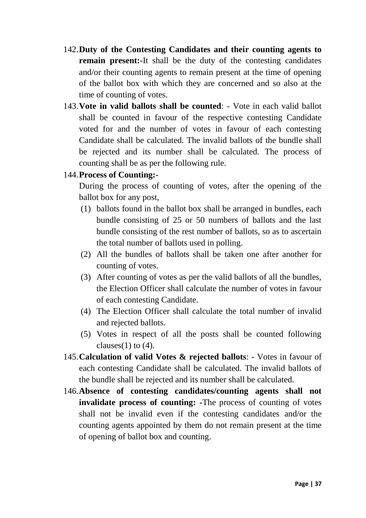- 142.**Duty of the Contesting Candidates and their counting agents to remain present:-**It shall be the duty of the contesting candidates and/or their counting agents to remain present at the time of opening of the ballot box with which they are concerned and so also at the time of counting of votes.
- 143.**Vote in valid ballots shall be counted**: Vote in each valid ballot shall be counted in favour of the respective contesting Candidate voted for and the number of votes in favour of each contesting Candidate shall be calculated. The invalid ballots of the bundle shall be rejected and its number shall be calculated. The process of counting shall be as per the following rule.

#### 144.**Process of Counting:-**

During the process of counting of votes, after the opening of the ballot box for any post,

- (1) ballots found in the ballot box shall be arranged in bundles, each bundle consisting of 25 or 50 numbers of ballots and the last bundle consisting of the rest number of ballots, so as to ascertain the total number of ballots used in polling.
- (2) All the bundles of ballots shall be taken one after another for counting of votes.
- (3) After counting of votes as per the valid ballots of all the bundles, the Election Officer shall calculate the number of votes in favour of each contesting Candidate.
- (4) The Election Officer shall calculate the total number of invalid and rejected ballots.
- (5) Votes in respect of all the posts shall be counted following clauses $(1)$  to  $(4)$ .
- 145.**Calculation of valid Votes & rejected ballots**: Votes in favour of each contesting Candidate shall be calculated. The invalid ballots of the bundle shall be rejected and its number shall be calculated.
- 146.**Absence of contesting candidates/counting agents shall not invalidate process of counting: -**The process of counting of votes shall not be invalid even if the contesting candidates and/or the counting agents appointed by them do not remain present at the time of opening of ballot box and counting.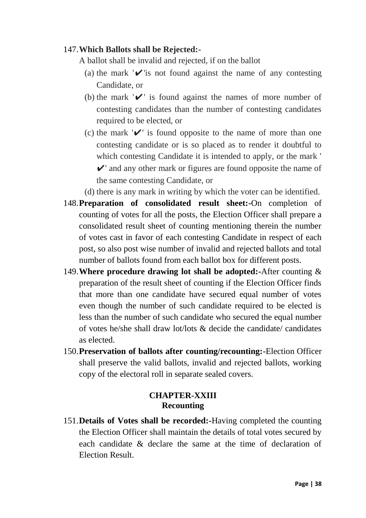#### 147.**Which Ballots shall be Rejected:-**

A ballot shall be invalid and rejected, if on the ballot

- (a) the mark  $'$  is not found against the name of any contesting Candidate, or
- (b) the mark  $'$  is found against the names of more number of contesting candidates than the number of contesting candidates required to be elected, or
- (c) the mark  $'$  is found opposite to the name of more than one contesting candidate or is so placed as to render it doubtful to which contesting Candidate it is intended to apply, or the mark '  $\mathcal{V}'$  and any other mark or figures are found opposite the name of the same contesting Candidate, or
- (d) there is any mark in writing by which the voter can be identified.
- 148.**Preparation of consolidated result sheet:-**On completion of counting of votes for all the posts, the Election Officer shall prepare a consolidated result sheet of counting mentioning therein the number of votes cast in favor of each contesting Candidate in respect of each post, so also post wise number of invalid and rejected ballots and total number of ballots found from each ballot box for different posts.
- 149.**Where procedure drawing lot shall be adopted:-**After counting & preparation of the result sheet of counting if the Election Officer finds that more than one candidate have secured equal number of votes even though the number of such candidate required to be elected is less than the number of such candidate who secured the equal number of votes he/she shall draw lot/lots & decide the candidate/ candidates as elected.
- 150.**Preservation of ballots after counting/recounting:-**Election Officer shall preserve the valid ballots, invalid and rejected ballots, working copy of the electoral roll in separate sealed covers.

#### **CHAPTER-XXIII Recounting**

151.**Details of Votes shall be recorded:-**Having completed the counting the Election Officer shall maintain the details of total votes secured by each candidate & declare the same at the time of declaration of Election Result.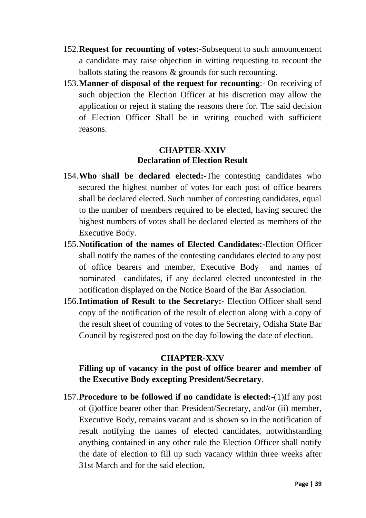- 152.**Request for recounting of votes:-**Subsequent to such announcement a candidate may raise objection in witting requesting to recount the ballots stating the reasons & grounds for such recounting.
- 153.**Manner of disposal of the request for recounting**:- On receiving of such objection the Election Officer at his discretion may allow the application or reject it stating the reasons there for. The said decision of Election Officer Shall be in writing couched with sufficient reasons.

#### **CHAPTER-XXIV Declaration of Election Result**

- 154.**Who shall be declared elected:-**The contesting candidates who secured the highest number of votes for each post of office bearers shall be declared elected. Such number of contesting candidates, equal to the number of members required to be elected, having secured the highest numbers of votes shall be declared elected as members of the Executive Body.
- 155.**Notification of the names of Elected Candidates:-**Election Officer shall notify the names of the contesting candidates elected to any post of office bearers and member, Executive Body and names of nominated candidates, if any declared elected uncontested in the notification displayed on the Notice Board of the Bar Association.
- 156.**Intimation of Result to the Secretary:-** Election Officer shall send copy of the notification of the result of election along with a copy of the result sheet of counting of votes to the Secretary, Odisha State Bar Council by registered post on the day following the date of election.

## **CHAPTER-XXV**

## **Filling up of vacancy in the post of office bearer and member of the Executive Body excepting President/Secretary**.

157.**Procedure to be followed if no candidate is elected:-**(1)If any post of (i)office bearer other than President/Secretary, and/or (ii) member, Executive Body, remains vacant and is shown so in the notification of result notifying the names of elected candidates, notwithstanding anything contained in any other rule the Election Officer shall notify the date of election to fill up such vacancy within three weeks after 31st March and for the said election,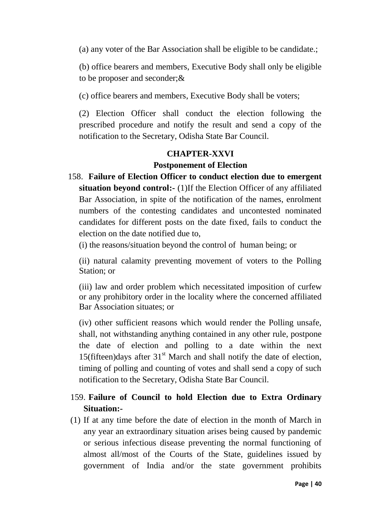(a) any voter of the Bar Association shall be eligible to be candidate.;

(b) office bearers and members, Executive Body shall only be eligible to be proposer and seconder;&

(c) office bearers and members, Executive Body shall be voters;

(2) Election Officer shall conduct the election following the prescribed procedure and notify the result and send a copy of the notification to the Secretary, Odisha State Bar Council.

## **CHAPTER-XXVI Postponement of Election**

158. **Failure of Election Officer to conduct election due to emergent situation beyond control:-** (1)If the Election Officer of any affiliated Bar Association, in spite of the notification of the names, enrolment numbers of the contesting candidates and uncontested nominated candidates for different posts on the date fixed, fails to conduct the election on the date notified due to,

(i) the reasons/situation beyond the control of human being; or

(ii) natural calamity preventing movement of voters to the Polling Station; or

(iii) law and order problem which necessitated imposition of curfew or any prohibitory order in the locality where the concerned affiliated Bar Association situates; or

(iv) other sufficient reasons which would render the Polling unsafe, shall, not withstanding anything contained in any other rule, postpone the date of election and polling to a date within the next 15(fifteen)days after  $31<sup>st</sup>$  March and shall notify the date of election, timing of polling and counting of votes and shall send a copy of such notification to the Secretary, Odisha State Bar Council.

## 159. **Failure of Council to hold Election due to Extra Ordinary Situation:-**

(1) If at any time before the date of election in the month of March in any year an extraordinary situation arises being caused by pandemic or serious infectious disease preventing the normal functioning of almost all/most of the Courts of the State, guidelines issued by government of India and/or the state government prohibits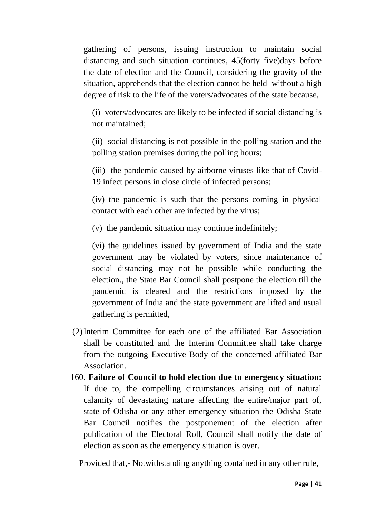gathering of persons, issuing instruction to maintain social distancing and such situation continues, 45(forty five)days before the date of election and the Council, considering the gravity of the situation, apprehends that the election cannot be held without a high degree of risk to the life of the voters/advocates of the state because,

(i) voters/advocates are likely to be infected if social distancing is not maintained;

(ii) social distancing is not possible in the polling station and the polling station premises during the polling hours;

(iii) the pandemic caused by airborne viruses like that of Covid-19 infect persons in close circle of infected persons;

(iv) the pandemic is such that the persons coming in physical contact with each other are infected by the virus;

(v) the pandemic situation may continue indefinitely;

(vi) the guidelines issued by government of India and the state government may be violated by voters, since maintenance of social distancing may not be possible while conducting the election., the State Bar Council shall postpone the election till the pandemic is cleared and the restrictions imposed by the government of India and the state government are lifted and usual gathering is permitted,

- (2)Interim Committee for each one of the affiliated Bar Association shall be constituted and the Interim Committee shall take charge from the outgoing Executive Body of the concerned affiliated Bar Association.
- 160. **Failure of Council to hold election due to emergency situation:** If due to, the compelling circumstances arising out of natural calamity of devastating nature affecting the entire/major part of, state of Odisha or any other emergency situation the Odisha State Bar Council notifies the postponement of the election after publication of the Electoral Roll, Council shall notify the date of election as soon as the emergency situation is over.

Provided that,- Notwithstanding anything contained in any other rule,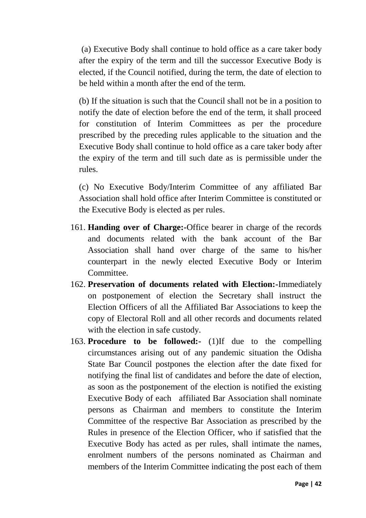(a) Executive Body shall continue to hold office as a care taker body after the expiry of the term and till the successor Executive Body is elected, if the Council notified, during the term, the date of election to be held within a month after the end of the term.

(b) If the situation is such that the Council shall not be in a position to notify the date of election before the end of the term, it shall proceed for constitution of Interim Committees as per the procedure prescribed by the preceding rules applicable to the situation and the Executive Body shall continue to hold office as a care taker body after the expiry of the term and till such date as is permissible under the rules.

(c) No Executive Body/Interim Committee of any affiliated Bar Association shall hold office after Interim Committee is constituted or the Executive Body is elected as per rules.

- 161. **Handing over of Charge:-**Office bearer in charge of the records and documents related with the bank account of the Bar Association shall hand over charge of the same to his/her counterpart in the newly elected Executive Body or Interim Committee.
- 162. **Preservation of documents related with Election:-**Immediately on postponement of election the Secretary shall instruct the Election Officers of all the Affiliated Bar Associations to keep the copy of Electoral Roll and all other records and documents related with the election in safe custody.
- 163. **Procedure to be followed:-** (1)If due to the compelling circumstances arising out of any pandemic situation the Odisha State Bar Council postpones the election after the date fixed for notifying the final list of candidates and before the date of election, as soon as the postponement of the election is notified the existing Executive Body of each affiliated Bar Association shall nominate persons as Chairman and members to constitute the Interim Committee of the respective Bar Association as prescribed by the Rules in presence of the Election Officer, who if satisfied that the Executive Body has acted as per rules, shall intimate the names, enrolment numbers of the persons nominated as Chairman and members of the Interim Committee indicating the post each of them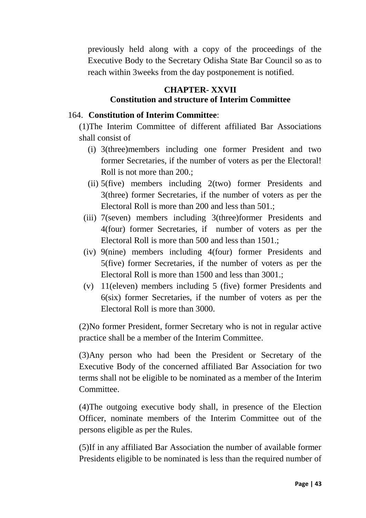previously held along with a copy of the proceedings of the Executive Body to the Secretary Odisha State Bar Council so as to reach within 3weeks from the day postponement is notified.

## **CHAPTER- XXVII Constitution and structure of Interim Committee**

#### 164. **Constitution of Interim Committee**:

(1)The Interim Committee of different affiliated Bar Associations shall consist of

- (i) 3(three)members including one former President and two former Secretaries, if the number of voters as per the Electoral! Roll is not more than 200.;
- (ii) 5(five) members including 2(two) former Presidents and 3(three) former Secretaries, if the number of voters as per the Electoral Roll is more than 200 and less than 501.;
- (iii) 7(seven) members including 3(three)former Presidents and 4(four) former Secretaries, if number of voters as per the Electoral Roll is more than 500 and less than 1501.;
- (iv) 9(nine) members including 4(four) former Presidents and 5(five) former Secretaries, if the number of voters as per the Electoral Roll is more than 1500 and less than 3001.;
- (v) 11(eleven) members including 5 (five) former Presidents and 6(six) former Secretaries, if the number of voters as per the Electoral Roll is more than 3000.

(2)No former President, former Secretary who is not in regular active practice shall be a member of the Interim Committee.

(3)Any person who had been the President or Secretary of the Executive Body of the concerned affiliated Bar Association for two terms shall not be eligible to be nominated as a member of the Interim **Committee** 

(4)The outgoing executive body shall, in presence of the Election Officer, nominate members of the Interim Committee out of the persons eligible as per the Rules.

(5)If in any affiliated Bar Association the number of available former Presidents eligible to be nominated is less than the required number of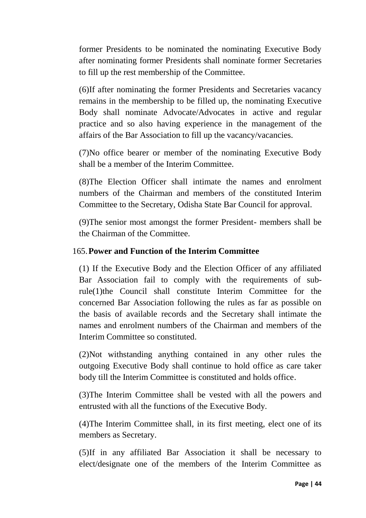former Presidents to be nominated the nominating Executive Body after nominating former Presidents shall nominate former Secretaries to fill up the rest membership of the Committee.

(6)If after nominating the former Presidents and Secretaries vacancy remains in the membership to be filled up, the nominating Executive Body shall nominate Advocate/Advocates in active and regular practice and so also having experience in the management of the affairs of the Bar Association to fill up the vacancy/vacancies.

(7)No office bearer or member of the nominating Executive Body shall be a member of the Interim Committee.

(8)The Election Officer shall intimate the names and enrolment numbers of the Chairman and members of the constituted Interim Committee to the Secretary, Odisha State Bar Council for approval.

(9)The senior most amongst the former President- members shall be the Chairman of the Committee.

#### 165.**Power and Function of the Interim Committee**

(1) If the Executive Body and the Election Officer of any affiliated Bar Association fail to comply with the requirements of subrule(1)the Council shall constitute Interim Committee for the concerned Bar Association following the rules as far as possible on the basis of available records and the Secretary shall intimate the names and enrolment numbers of the Chairman and members of the Interim Committee so constituted.

(2)Not withstanding anything contained in any other rules the outgoing Executive Body shall continue to hold office as care taker body till the Interim Committee is constituted and holds office.

(3)The Interim Committee shall be vested with all the powers and entrusted with all the functions of the Executive Body.

(4)The Interim Committee shall, in its first meeting, elect one of its members as Secretary.

(5)If in any affiliated Bar Association it shall be necessary to elect/designate one of the members of the Interim Committee as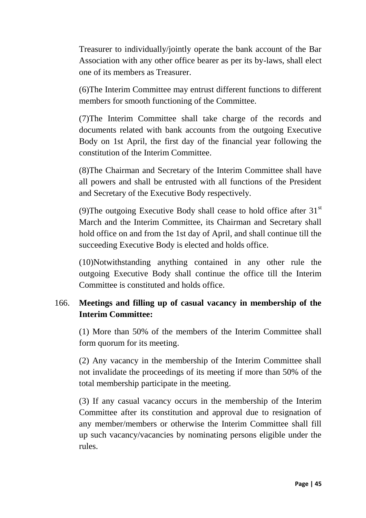Treasurer to individually/jointly operate the bank account of the Bar Association with any other office bearer as per its by-laws, shall elect one of its members as Treasurer.

(6)The Interim Committee may entrust different functions to different members for smooth functioning of the Committee.

(7)The Interim Committee shall take charge of the records and documents related with bank accounts from the outgoing Executive Body on 1st April, the first day of the financial year following the constitution of the Interim Committee.

(8)The Chairman and Secretary of the Interim Committee shall have all powers and shall be entrusted with all functions of the President and Secretary of the Executive Body respectively.

(9) The outgoing Executive Body shall cease to hold office after  $31<sup>st</sup>$ March and the Interim Committee, its Chairman and Secretary shall hold office on and from the 1st day of April, and shall continue till the succeeding Executive Body is elected and holds office.

(10)Notwithstanding anything contained in any other rule the outgoing Executive Body shall continue the office till the Interim Committee is constituted and holds office.

## 166. **Meetings and filling up of casual vacancy in membership of the Interim Committee:**

(1) More than 50% of the members of the Interim Committee shall form quorum for its meeting.

(2) Any vacancy in the membership of the Interim Committee shall not invalidate the proceedings of its meeting if more than 50% of the total membership participate in the meeting.

(3) If any casual vacancy occurs in the membership of the Interim Committee after its constitution and approval due to resignation of any member/members or otherwise the Interim Committee shall fill up such vacancy/vacancies by nominating persons eligible under the rules.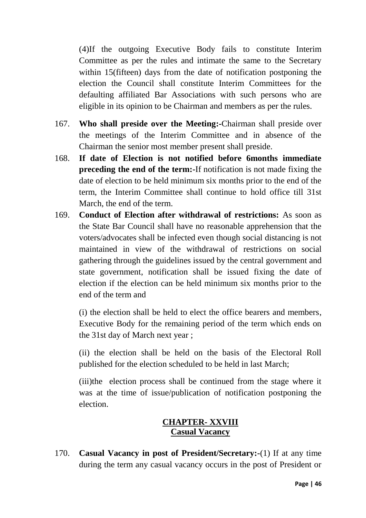(4)If the outgoing Executive Body fails to constitute Interim Committee as per the rules and intimate the same to the Secretary within 15(fifteen) days from the date of notification postponing the election the Council shall constitute Interim Committees for the defaulting affiliated Bar Associations with such persons who are eligible in its opinion to be Chairman and members as per the rules.

- 167. **Who shall preside over the Meeting:-**Chairman shall preside over the meetings of the Interim Committee and in absence of the Chairman the senior most member present shall preside.
- 168. **If date of Election is not notified before 6months immediate preceding the end of the term:**-If notification is not made fixing the date of election to be held minimum six months prior to the end of the term, the Interim Committee shall continue to hold office till 31st March, the end of the term.
- 169. **Conduct of Election after withdrawal of restrictions:** As soon as the State Bar Council shall have no reasonable apprehension that the voters/advocates shall be infected even though social distancing is not maintained in view of the withdrawal of restrictions on social gathering through the guidelines issued by the central government and state government, notification shall be issued fixing the date of election if the election can be held minimum six months prior to the end of the term and

(i) the election shall be held to elect the office bearers and members, Executive Body for the remaining period of the term which ends on the 31st day of March next year ;

(ii) the election shall be held on the basis of the Electoral Roll published for the election scheduled to be held in last March;

(iii)the election process shall be continued from the stage where it was at the time of issue/publication of notification postponing the election.

## **CHAPTER- XXVIII Casual Vacancy**

170. **Casual Vacancy in post of President/Secretary:-**(1) If at any time during the term any casual vacancy occurs in the post of President or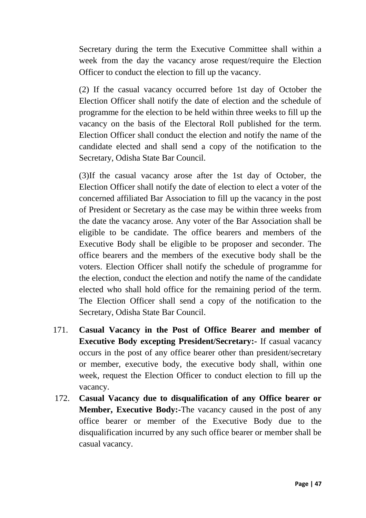Secretary during the term the Executive Committee shall within a week from the day the vacancy arose request/require the Election Officer to conduct the election to fill up the vacancy.

(2) If the casual vacancy occurred before 1st day of October the Election Officer shall notify the date of election and the schedule of programme for the election to be held within three weeks to fill up the vacancy on the basis of the Electoral Roll published for the term. Election Officer shall conduct the election and notify the name of the candidate elected and shall send a copy of the notification to the Secretary, Odisha State Bar Council.

(3)If the casual vacancy arose after the 1st day of October, the Election Officer shall notify the date of election to elect a voter of the concerned affiliated Bar Association to fill up the vacancy in the post of President or Secretary as the case may be within three weeks from the date the vacancy arose. Any voter of the Bar Association shall be eligible to be candidate. The office bearers and members of the Executive Body shall be eligible to be proposer and seconder. The office bearers and the members of the executive body shall be the voters. Election Officer shall notify the schedule of programme for the election, conduct the election and notify the name of the candidate elected who shall hold office for the remaining period of the term. The Election Officer shall send a copy of the notification to the Secretary, Odisha State Bar Council.

- 171. **Casual Vacancy in the Post of Office Bearer and member of Executive Body excepting President/Secretary:-** If casual vacancy occurs in the post of any office bearer other than president/secretary or member, executive body, the executive body shall, within one week, request the Election Officer to conduct election to fill up the vacancy.
- 172. **Casual Vacancy due to disqualification of any Office bearer or Member, Executive Body:-**The vacancy caused in the post of any office bearer or member of the Executive Body due to the disqualification incurred by any such office bearer or member shall be casual vacancy.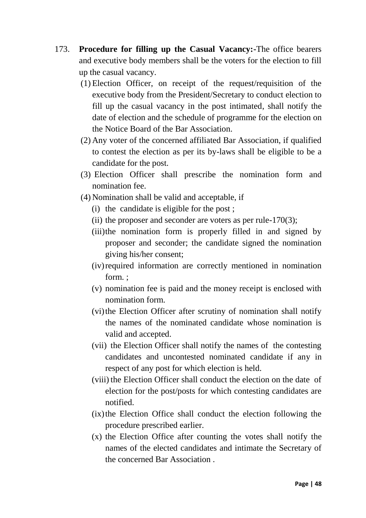- 173. **Procedure for filling up the Casual Vacancy:-**The office bearers and executive body members shall be the voters for the election to fill up the casual vacancy.
	- (1) Election Officer, on receipt of the request/requisition of the executive body from the President/Secretary to conduct election to fill up the casual vacancy in the post intimated, shall notify the date of election and the schedule of programme for the election on the Notice Board of the Bar Association.
	- (2) Any voter of the concerned affiliated Bar Association, if qualified to contest the election as per its by-laws shall be eligible to be a candidate for the post.
	- (3) Election Officer shall prescribe the nomination form and nomination fee.
	- (4) Nomination shall be valid and acceptable, if
		- (i) the candidate is eligible for the post ;
		- (ii) the proposer and seconder are voters as per rule- $170(3)$ ;
		- (iii)the nomination form is properly filled in and signed by proposer and seconder; the candidate signed the nomination giving his/her consent;
		- (iv)required information are correctly mentioned in nomination form. ;
		- (v) nomination fee is paid and the money receipt is enclosed with nomination form.
		- (vi) the Election Officer after scrutiny of nomination shall notify the names of the nominated candidate whose nomination is valid and accepted.
		- (vii) the Election Officer shall notify the names of the contesting candidates and uncontested nominated candidate if any in respect of any post for which election is held.
		- (viii) the Election Officer shall conduct the election on the date of election for the post/posts for which contesting candidates are notified.
		- $(ix)$ the Election Office shall conduct the election following the procedure prescribed earlier.
		- (x) the Election Office after counting the votes shall notify the names of the elected candidates and intimate the Secretary of the concerned Bar Association .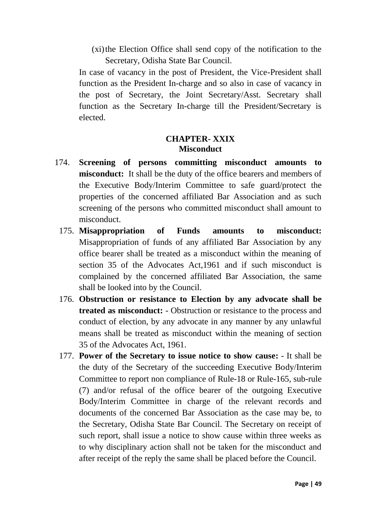(xi)the Election Office shall send copy of the notification to the Secretary, Odisha State Bar Council.

In case of vacancy in the post of President, the Vice-President shall function as the President In-charge and so also in case of vacancy in the post of Secretary, the Joint Secretary/Asst. Secretary shall function as the Secretary In-charge till the President/Secretary is elected.

#### **CHAPTER- XXIX Misconduct**

- 174. **Screening of persons committing misconduct amounts to misconduct:** It shall be the duty of the office bearers and members of the Executive Body/Interim Committee to safe guard/protect the properties of the concerned affiliated Bar Association and as such screening of the persons who committed misconduct shall amount to misconduct.
	- 175. **Misappropriation of Funds amounts to misconduct:** Misappropriation of funds of any affiliated Bar Association by any office bearer shall be treated as a misconduct within the meaning of section 35 of the Advocates Act, 1961 and if such misconduct is complained by the concerned affiliated Bar Association, the same shall be looked into by the Council.
	- 176. **Obstruction or resistance to Election by any advocate shall be treated as misconduct:** - Obstruction or resistance to the process and conduct of election, by any advocate in any manner by any unlawful means shall be treated as misconduct within the meaning of section 35 of the Advocates Act, 1961.
	- 177. **Power of the Secretary to issue notice to show cause:** It shall be the duty of the Secretary of the succeeding Executive Body/Interim Committee to report non compliance of Rule-18 or Rule-165, sub-rule (7) and/or refusal of the office bearer of the outgoing Executive Body/Interim Committee in charge of the relevant records and documents of the concerned Bar Association as the case may be, to the Secretary, Odisha State Bar Council. The Secretary on receipt of such report, shall issue a notice to show cause within three weeks as to why disciplinary action shall not be taken for the misconduct and after receipt of the reply the same shall be placed before the Council.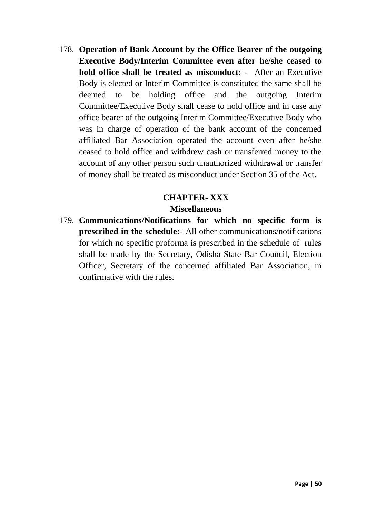178. **Operation of Bank Account by the Office Bearer of the outgoing Executive Body/Interim Committee even after he/she ceased to hold office shall be treated as misconduct:** - After an Executive Body is elected or Interim Committee is constituted the same shall be deemed to be holding office and the outgoing Interim Committee/Executive Body shall cease to hold office and in case any office bearer of the outgoing Interim Committee/Executive Body who was in charge of operation of the bank account of the concerned affiliated Bar Association operated the account even after he/she ceased to hold office and withdrew cash or transferred money to the account of any other person such unauthorized withdrawal or transfer of money shall be treated as misconduct under Section 35 of the Act.

## **CHAPTER- XXX Miscellaneous**

179. **Communications/Notifications for which no specific form is prescribed in the schedule:-** All other communications/notifications for which no specific proforma is prescribed in the schedule of rules shall be made by the Secretary, Odisha State Bar Council, Election Officer, Secretary of the concerned affiliated Bar Association, in confirmative with the rules.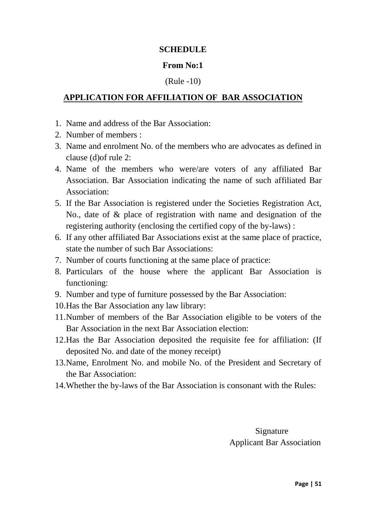#### **SCHEDULE**

#### **From No:1**

#### (Rule -10)

## **APPLICATION FOR AFFILIATION OF BAR ASSOCIATION**

- 1. Name and address of the Bar Association:
- 2. Number of members :
- 3. Name and enrolment No. of the members who are advocates as defined in clause (d)of rule 2:
- 4. Name of the members who were/are voters of any affiliated Bar Association. Bar Association indicating the name of such affiliated Bar Association:
- 5. If the Bar Association is registered under the Societies Registration Act, No., date of & place of registration with name and designation of the registering authority (enclosing the certified copy of the by-laws) :
- 6. If any other affiliated Bar Associations exist at the same place of practice, state the number of such Bar Associations:
- 7. Number of courts functioning at the same place of practice:
- 8. Particulars of the house where the applicant Bar Association is functioning:
- 9. Number and type of furniture possessed by the Bar Association:
- 10.Has the Bar Association any law library:
- 11.Number of members of the Bar Association eligible to be voters of the Bar Association in the next Bar Association election:
- 12.Has the Bar Association deposited the requisite fee for affiliation: (If deposited No. and date of the money receipt)
- 13.Name, Enrolment No. and mobile No. of the President and Secretary of the Bar Association:
- 14.Whether the by-laws of the Bar Association is consonant with the Rules:

 Signature Applicant Bar Association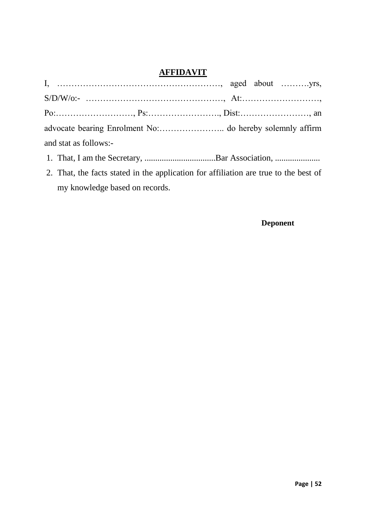## **AFFIDAVIT**

|                       | $P_0: \ldots: \ldots: \ldots: \ldots, P_s: \ldots: \ldots: \ldots: \ldots, Dist: \ldots: \ldots: \ldots: \ldots, an$ |  |  |
|-----------------------|----------------------------------------------------------------------------------------------------------------------|--|--|
|                       |                                                                                                                      |  |  |
| and stat as follows:- |                                                                                                                      |  |  |
|                       |                                                                                                                      |  |  |

- 1. That, I am the Secretary, ...................................Bar Association, ............................
- 2. That, the facts stated in the application for affiliation are true to the best of my knowledge based on records.

#### **Deponent**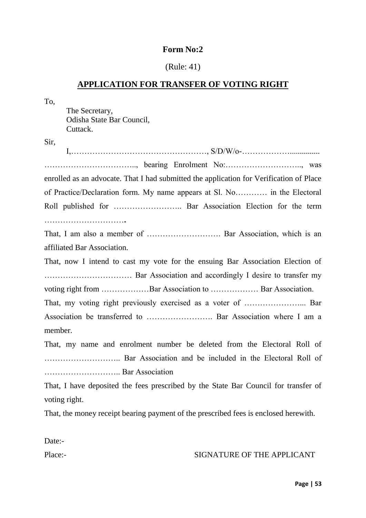#### (Rule: 41)

#### **APPLICATION FOR TRANSFER OF VOTING RIGHT**

To, The Secretary, Odisha State Bar Council, Cuttack. Sir,  $I, \ldots, \ldots, \ldots, \ldots, \ldots, \ldots, \ldots, \mathrm{S/D/W/O} \ldots, \mathrm{S/D/W/O} \ldots, \mathrm{S/D/W/O} \ldots, \ldots, \mathrm{S/D/W/O} \ldots, \mathrm{S/D/W/O} \ldots, \mathrm{S/D/W/O} \ldots, \mathrm{S/D/W/O} \ldots, \mathrm{S/D/W/O} \ldots, \mathrm{S/D/W/O} \ldots, \mathrm{S/D/W/O} \ldots, \mathrm{S/D/W/O} \ldots, \mathrm{S/D/W/O} \ldots, \mathrm{S/D/W/O} \ldots, \mathrm{S/D/W/O} \ldots, \mathrm{S/D/W/O} \ldots, \mathrm{S/D/W$ …………………………….., bearing Enrolment No:……………………….., was enrolled as an advocate. That I had submitted the application for Verification of Place of Practice/Declaration form. My name appears at Sl. No………… in the Electoral Roll published for …………………….. Bar Association Election for the term …………………………**.** That, I am also a member of ………………………. Bar Association, which is an affiliated Bar Association. That, now I intend to cast my vote for the ensuing Bar Association Election of …………………………… Bar Association and accordingly I desire to transfer my voting right from ………………Bar Association to ……………… Bar Association. That, my voting right previously exercised as a voter of …………………... Bar Association be transferred to ……………………. Bar Association where I am a member. That, my name and enrolment number be deleted from the Electoral Roll of ……………………….. Bar Association and be included in the Electoral Roll of ……………………….. Bar Association That, I have deposited the fees prescribed by the State Bar Council for transfer of voting right. That, the money receipt bearing payment of the prescribed fees is enclosed herewith.

Date:-

#### Place:- SIGNATURE OF THE APPLICANT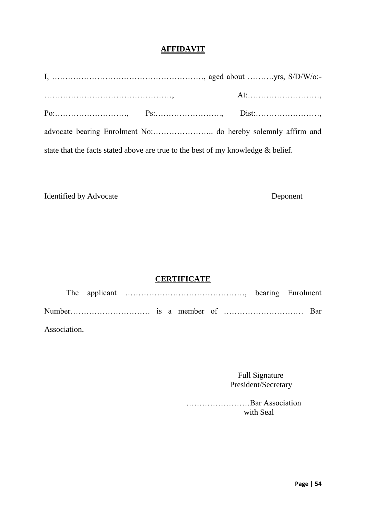#### **AFFIDAVIT**

|                                                                                                                                        |  | At: |
|----------------------------------------------------------------------------------------------------------------------------------------|--|-----|
| $P_0: \ldots: \ldots: \ldots: \ldots, \qquad P_S: \ldots: \ldots: \ldots: \ldots, \qquad \text{Dist}: \ldots: \ldots: \ldots: \ldots,$ |  |     |
|                                                                                                                                        |  |     |
| state that the facts stated above are true to the best of my knowledge & belief.                                                       |  |     |

Identified by Advocate Deponent

#### **CERTIFICATE**

| Association. |  |  |  |  |  |
|--------------|--|--|--|--|--|

 Full Signature President/Secretary

 ……………………Bar Association with Seal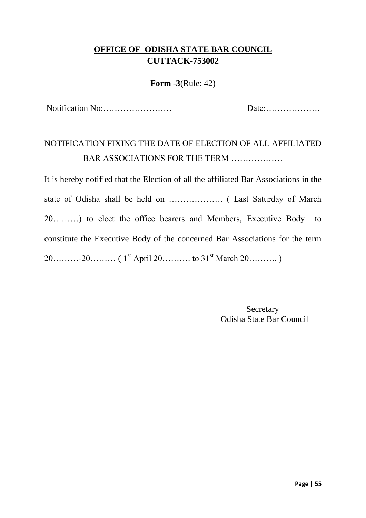## **OFFICE OF ODISHA STATE BAR COUNCIL CUTTACK-753002**

#### **Form -3**(Rule: 42)

Notification No:…………………… Date:……………….

# NOTIFICATION FIXING THE DATE OF ELECTION OF ALL AFFILIATED BAR ASSOCIATIONS FOR THE TERM ………………

It is hereby notified that the Election of all the affiliated Bar Associations in the state of Odisha shall be held on ………………. ( Last Saturday of March 20………) to elect the office bearers and Members, Executive Body to constitute the Executive Body of the concerned Bar Associations for the term  $20$ ………-20……… (  $1^{st}$  April 20……… to  $31^{st}$  March  $20$ ……….)

> **Secretary** Odisha State Bar Council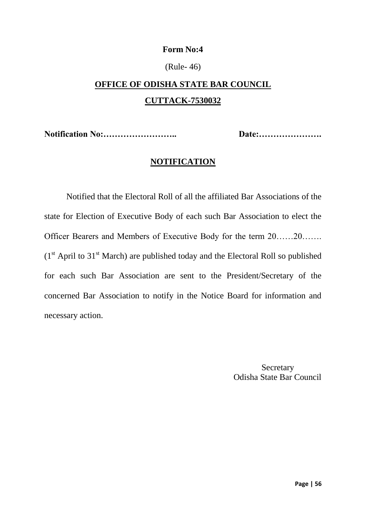#### (Rule- 46)

# **OFFICE OF ODISHA STATE BAR COUNCIL CUTTACK-7530032**

**Notification No:…………………….. Date:………………….**

#### **NOTIFICATION**

Notified that the Electoral Roll of all the affiliated Bar Associations of the state for Election of Executive Body of each such Bar Association to elect the Officer Bearers and Members of Executive Body for the term 20……20…….  $(1<sup>st</sup>$  April to 31<sup>st</sup> March) are published today and the Electoral Roll so published for each such Bar Association are sent to the President/Secretary of the concerned Bar Association to notify in the Notice Board for information and necessary action.

> **Secretary** Odisha State Bar Council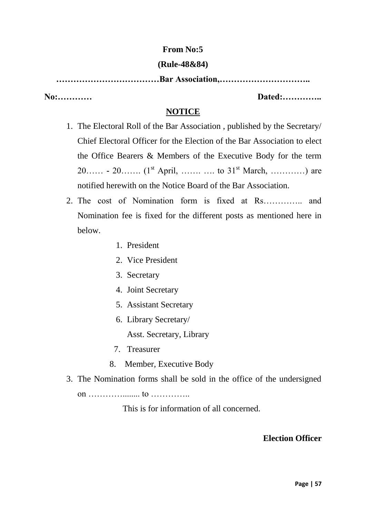#### **From No:5**

#### **(Rule-48&84)**

**………………………………Bar Association,…………………………..**

**No:………… Dated:…………..**

## **NOTICE**

- 1. The Electoral Roll of the Bar Association , published by the Secretary/ Chief Electoral Officer for the Election of the Bar Association to elect the Office Bearers & Members of the Executive Body for the term 20…… **-** 20……. (1st April, ……. …. to 31st March, …………) are notified herewith on the Notice Board of the Bar Association.
- 2. The cost of Nomination form is fixed at Rs………….. and Nomination fee is fixed for the different posts as mentioned here in below.
	- 1. President
	- 2. Vice President
	- 3. Secretary
	- 4. Joint Secretary
	- 5. Assistant Secretary
	- 6. Library Secretary/

Asst. Secretary, Library

- 7. Treasurer
- 8. Member, Executive Body
- 3. The Nomination forms shall be sold in the office of the undersigned on …………........ to …………..

This is for information of all concerned.

## **Election Officer**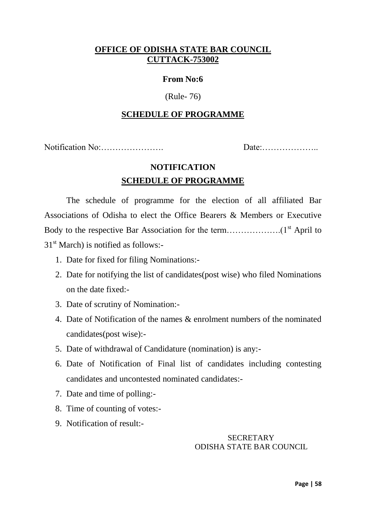#### **OFFICE OF ODISHA STATE BAR COUNCIL CUTTACK-753002**

#### **From No:6**

#### (Rule- 76)

#### **SCHEDULE OF PROGRAMME**

Notification No:…………………. Date:………………..

## **NOTIFICATION SCHEDULE OF PROGRAMME**

The schedule of programme for the election of all affiliated Bar Associations of Odisha to elect the Office Bearers & Members or Executive Body to the respective Bar Association for the term……………….(1st April to  $31<sup>st</sup>$  March) is notified as follows:-

- 1. Date for fixed for filing Nominations:-
- 2. Date for notifying the list of candidates(post wise) who filed Nominations on the date fixed:-
- 3. Date of scrutiny of Nomination:-
- 4. Date of Notification of the names & enrolment numbers of the nominated candidates(post wise):-
- 5. Date of withdrawal of Candidature (nomination) is any:-
- 6. Date of Notification of Final list of candidates including contesting candidates and uncontested nominated candidates:-
- 7. Date and time of polling:-
- 8. Time of counting of votes:-
- 9. Notification of result:-

#### **SECRETARY** ODISHA STATE BAR COUNCIL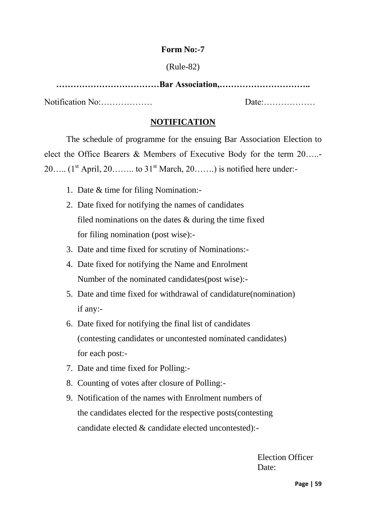#### (Rule-82)

**………………………………Bar Association,…………………………..** Notification No:……………… Date:………………

#### **NOTIFICATION**

The schedule of programme for the ensuing Bar Association Election to elect the Office Bearers & Members of Executive Body for the term 20…..- 20….. ( $1<sup>st</sup>$  April, 20…….. to  $31<sup>st</sup>$  March, 20…….) is notified here under:-

- 1. Date & time for filing Nomination:-
- 2. Date fixed for notifying the names of candidates filed nominations on the dates & during the time fixed for filing nomination (post wise):-
- 3. Date and time fixed for scrutiny of Nominations:-
- 4. Date fixed for notifying the Name and Enrolment Number of the nominated candidates(post wise):-
- 5. Date and time fixed for withdrawal of candidature(nomination) if any:-
- 6. Date fixed for notifying the final list of candidates (contesting candidates or uncontested nominated candidates) for each post:-
- 7. Date and time fixed for Polling:-
- 8. Counting of votes after closure of Polling:-
- 9. Notification of the names with Enrolment numbers of the candidates elected for the respective posts(contesting candidate elected & candidate elected uncontested):-

 Election Officer Date: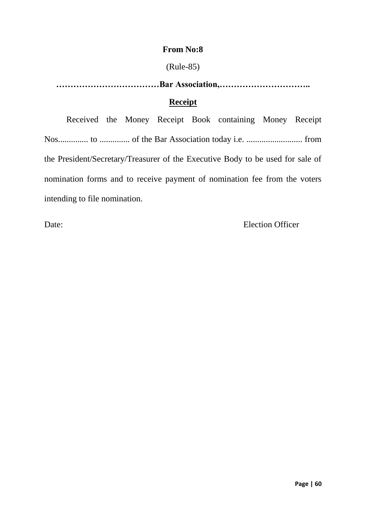#### **From No:8**

#### (Rule-85)

**………………………………Bar Association,………………………….. Receipt**

Received the Money Receipt Book containing Money Receipt Nos.............. to .............. of the Bar Association today i.e. .......................... from the President/Secretary/Treasurer of the Executive Body to be used for sale of nomination forms and to receive payment of nomination fee from the voters intending to file nomination.

Date: Election Officer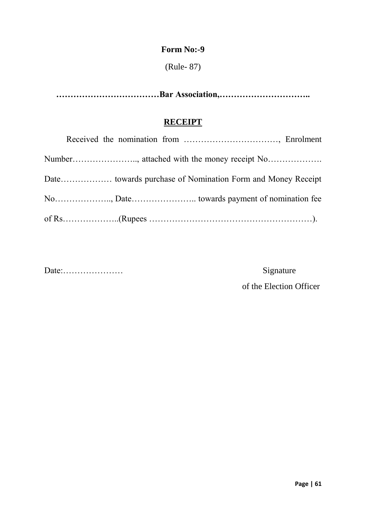(Rule- 87)

**………………………………Bar Association,…………………………..**

## **RECEIPT**

Date:………………… Signature

of the Election Officer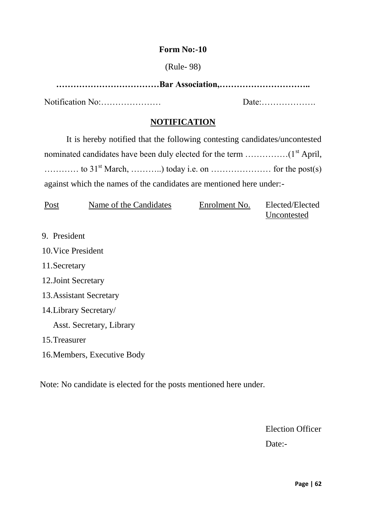#### (Rule- 98)

| Notification No: |  |
|------------------|--|

#### **NOTIFICATION**

It is hereby notified that the following contesting candidates/uncontested nominated candidates have been duly elected for the term  $\dots\dots\dots\dots\dots\dots$  (1<sup>st</sup> April, ………… to 31st March, ………..) today i.e. on ………………… for the post(s) against which the names of the candidates are mentioned here under:-

| Post | Name of the Candidates | Enrolment No. | Elected/Elected |
|------|------------------------|---------------|-----------------|
|      |                        |               | Uncontested     |

9. President

10.Vice President

- 11.Secretary
- 12.Joint Secretary
- 13.Assistant Secretary
- 14.Library Secretary/

Asst. Secretary, Library

- 15.Treasurer
- 16.Members, Executive Body

Note: No candidate is elected for the posts mentioned here under.

Election Officer Date:-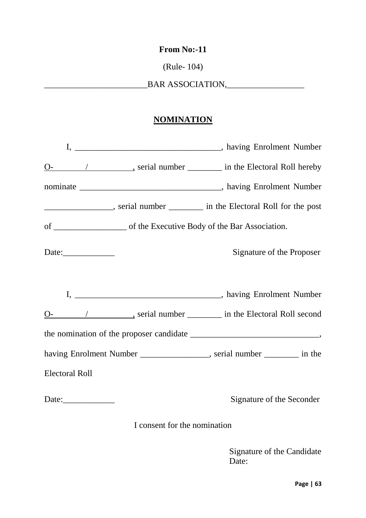#### **From No:-11**

(Rule- 104)

\_\_\_\_\_\_\_\_\_\_\_\_\_\_\_\_\_\_\_\_\_\_\_\_BAR ASSOCIATION,\_\_\_\_\_\_\_\_\_\_\_\_\_\_\_\_\_\_

## **NOMINATION**

|                       | <u>O</u> - 1 metal equation of the Electoral Roll hereby containing the extending of the Electoral Roll hereby |
|-----------------------|----------------------------------------------------------------------------------------------------------------|
|                       |                                                                                                                |
|                       | ______________________, serial number ___________ in the Electoral Roll for the post                           |
|                       |                                                                                                                |
|                       | Signature of the Proposer                                                                                      |
|                       |                                                                                                                |
|                       | <u>O</u> - / ________________, serial number ___________ in the Electoral Roll second                          |
|                       |                                                                                                                |
|                       | having Enrolment Number ________________, serial number _______ in the                                         |
| <b>Electoral Roll</b> |                                                                                                                |
|                       | Signature of the Seconder                                                                                      |

I consent for the nomination

 Signature of the Candidate Date: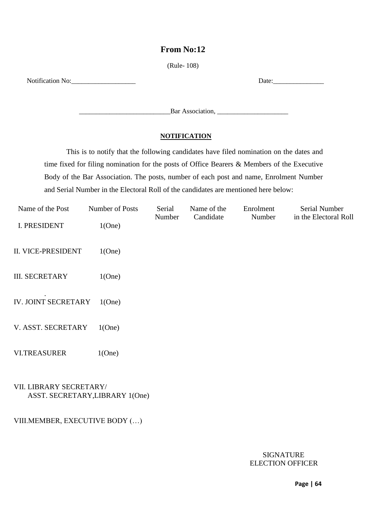#### **From No:12**

(Rule- 108)

Notification No:\_\_\_\_\_\_\_\_\_\_\_\_\_\_\_\_\_\_\_ Date:\_\_\_\_\_\_\_\_\_\_\_\_\_\_\_

\_\_\_\_\_\_\_\_\_\_\_\_\_\_\_\_\_\_\_\_\_\_\_\_\_\_\_Bar Association, \_\_\_\_\_\_\_\_\_\_\_\_\_\_\_\_\_\_\_\_\_

#### **NOTIFICATION**

This is to notify that the following candidates have filed nomination on the dates and time fixed for filing nomination for the posts of Office Bearers & Members of the Executive Body of the Bar Association. The posts, number of each post and name, Enrolment Number and Serial Number in the Electoral Roll of the candidates are mentioned here below:

| Name of the Post          | Number of Posts | Serial<br>Number | Name of the<br>Candidate | Enrolment<br>Number | Serial Number<br>in the Electoral Roll |
|---------------------------|-----------------|------------------|--------------------------|---------------------|----------------------------------------|
| <b>I. PRESIDENT</b>       | 1(One)          |                  |                          |                     |                                        |
| <b>II. VICE-PRESIDENT</b> | 1(One)          |                  |                          |                     |                                        |
| <b>III. SECRETARY</b>     | 1(One)          |                  |                          |                     |                                        |
| IV. JOINT SECRETARY       | 1(One)          |                  |                          |                     |                                        |
| V. ASST. SECRETARY        | 1(One)          |                  |                          |                     |                                        |
| <b>VI.TREASURER</b>       | 1(One)          |                  |                          |                     |                                        |
|                           |                 |                  |                          |                     |                                        |

#### VII. LIBRARY SECRETARY/ ASST. SECRETARY,LIBRARY 1(One)

#### VIII.MEMBER, EXECUTIVE BODY (…)

#### **SIGNATURE** ELECTION OFFICER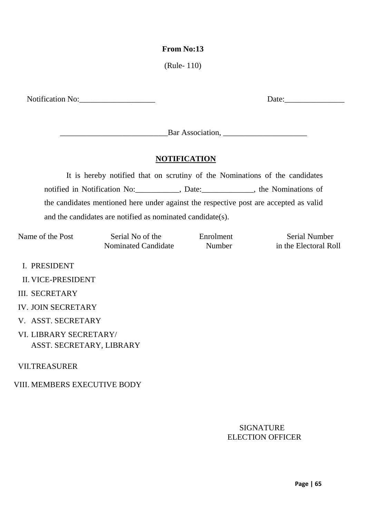#### **From No:13**

(Rule- 110)

Notification No: Date:

\_\_\_\_\_\_\_\_\_\_\_\_\_\_\_\_\_\_\_\_\_\_\_\_\_\_\_Bar Association, \_\_\_\_\_\_\_\_\_\_\_\_\_\_\_\_\_\_\_\_\_

#### **NOTIFICATION**

It is hereby notified that on scrutiny of the Nominations of the candidates notified in Notification No:\_\_\_\_\_\_\_\_\_\_\_, Date:\_\_\_\_\_\_\_\_\_\_\_\_\_, the Nominations of the candidates mentioned here under against the respective post are accepted as valid and the candidates are notified as nominated candidate(s).

Nominated Candidate Number in the Electoral Roll

Name of the Post Serial No of the Enrolment Serial Number

- I. PRESIDENT
- II. VICE-PRESIDENT
- III. SECRETARY
- IV. JOIN SECRETARY
- V. ASST. SECRETARY
- VI. LIBRARY SECRETARY/ ASST. SECRETARY, LIBRARY

VII.TREASURER

#### VIII. MEMBERS EXECUTIVE BODY

#### SIGNATURE ELECTION OFFICER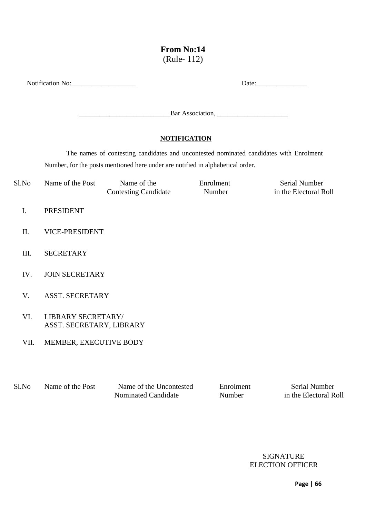### **From No:14** (Rule- 112)

|            | Notification No:                               | Date:                                                                                  |                     |                                               |
|------------|------------------------------------------------|----------------------------------------------------------------------------------------|---------------------|-----------------------------------------------|
|            |                                                |                                                                                        |                     |                                               |
|            |                                                | <b>NOTIFICATION</b>                                                                    |                     |                                               |
|            |                                                | The names of contesting candidates and uncontested nominated candidates with Enrolment |                     |                                               |
|            |                                                | Number, for the posts mentioned here under are notified in alphabetical order.         |                     |                                               |
| Sl.No      | Name of the Post                               | Name of the<br><b>Contesting Candidate</b>                                             | Enrolment<br>Number | <b>Serial Number</b><br>in the Electoral Roll |
| ${\bf I}.$ | <b>PRESIDENT</b>                               |                                                                                        |                     |                                               |
| II.        | <b>VICE-PRESIDENT</b>                          |                                                                                        |                     |                                               |
| III.       | <b>SECRETARY</b>                               |                                                                                        |                     |                                               |
| IV.        | <b>JOIN SECRETARY</b>                          |                                                                                        |                     |                                               |
| V.         | <b>ASST. SECRETARY</b>                         |                                                                                        |                     |                                               |
| VI.        | LIBRARY SECRETARY/<br>ASST. SECRETARY, LIBRARY |                                                                                        |                     |                                               |
| VII.       | MEMBER, EXECUTIVE BODY                         |                                                                                        |                     |                                               |
| Sl.No      | Name of the Post                               | Name of the Uncontested<br>Nominated Candidate                                         | Enrolment<br>Number | Serial Number<br>in the Electoral Roll        |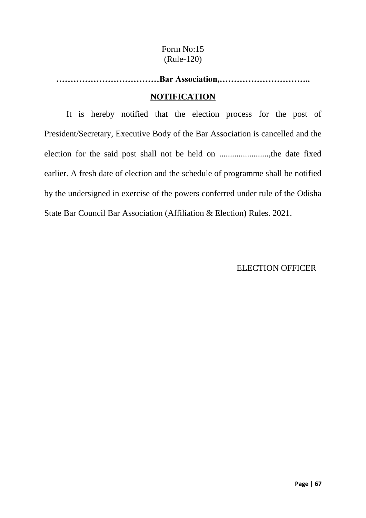## Form No:15 (Rule-120)

**………………………………Bar Association,…………………………..**

#### **NOTIFICATION**

It is hereby notified that the election process for the post of President/Secretary, Executive Body of the Bar Association is cancelled and the election for the said post shall not be held on .......................,the date fixed earlier. A fresh date of election and the schedule of programme shall be notified by the undersigned in exercise of the powers conferred under rule of the Odisha State Bar Council Bar Association (Affiliation & Election) Rules. 2021.

ELECTION OFFICER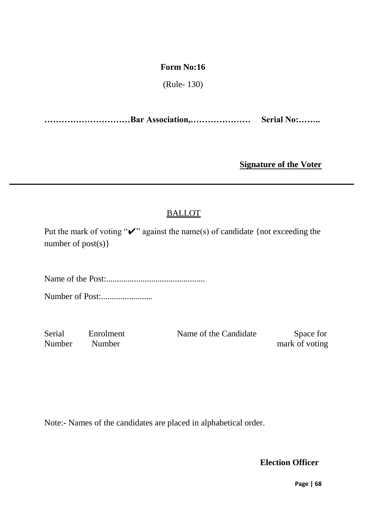(Rule- 130)

**…………………………Bar Association,………………… Serial No:……..**

**Signature of the Voter**

## BALLOT

Put the mark of voting " $\vee$ " against the name(s) of candidate {not exceeding the number of post(s) }

Name of the Post:..............................................

Number of Post:........................

Number Number mark of voting

Serial Enrolment Name of the Candidate Space for

Note:- Names of the candidates are placed in alphabetical order.

**Election Officer**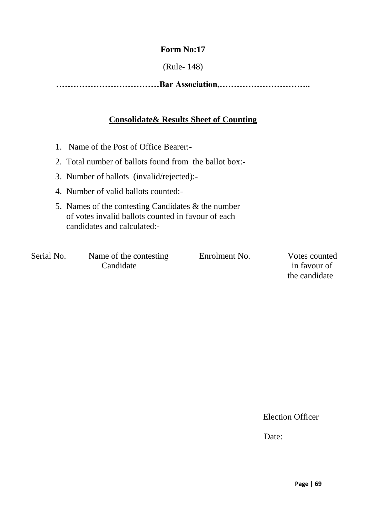#### (Rule- 148)

**………………………………Bar Association,…………………………..**

#### **Consolidate& Results Sheet of Counting**

- 1. Name of the Post of Office Bearer:-
- 2. Total number of ballots found from the ballot box:-
- 3. Number of ballots (invalid/rejected):-
- 4. Number of valid ballots counted:-
- 5. Names of the contesting Candidates & the number of votes invalid ballots counted in favour of each candidates and calculated:-

Serial No. Name of the contesting Enrolment No. Votes counted Candidate in favour of

the candidate

Election Officer

Date: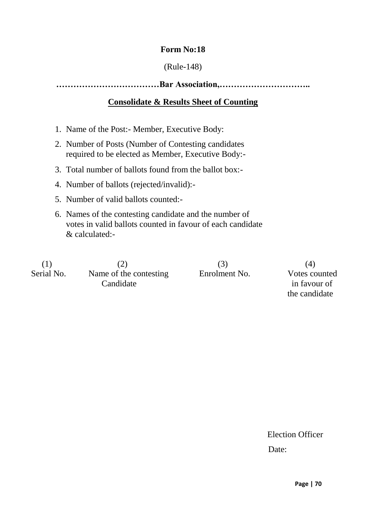#### (Rule-148)

**………………………………Bar Association,…………………………..**

## **Consolidate & Results Sheet of Counting**

- 1. Name of the Post:- Member, Executive Body:
- 2. Number of Posts (Number of Contesting candidates required to be elected as Member, Executive Body:-
- 3. Total number of ballots found from the ballot box:-
- 4. Number of ballots (rejected/invalid):-
- 5. Number of valid ballots counted:-
- 6. Names of the contesting candidate and the number of votes in valid ballots counted in favour of each candidate & calculated:-

| (1)        | (2)                    |               | (4)           |
|------------|------------------------|---------------|---------------|
| Serial No. | Name of the contesting | Enrolment No. | Votes counted |
|            | Candidate              |               | in favour of  |
|            |                        |               | the candidate |

Election Officer **Date: Date:**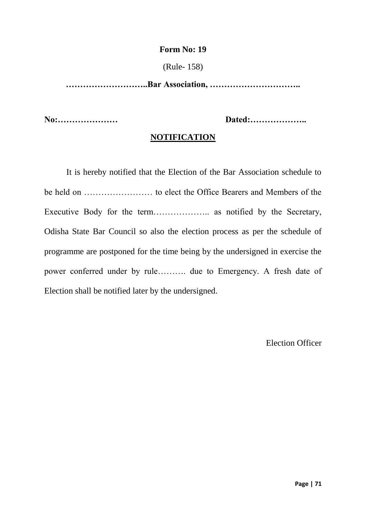#### (Rule- 158)

**………………………..Bar Association, …………………………..**

**No:………………… Dated:………………..**

#### **NOTIFICATION**

It is hereby notified that the Election of the Bar Association schedule to be held on …………………… to elect the Office Bearers and Members of the Executive Body for the term……………….. as notified by the Secretary, Odisha State Bar Council so also the election process as per the schedule of programme are postponed for the time being by the undersigned in exercise the power conferred under by rule………. due to Emergency. A fresh date of Election shall be notified later by the undersigned.

Election Officer